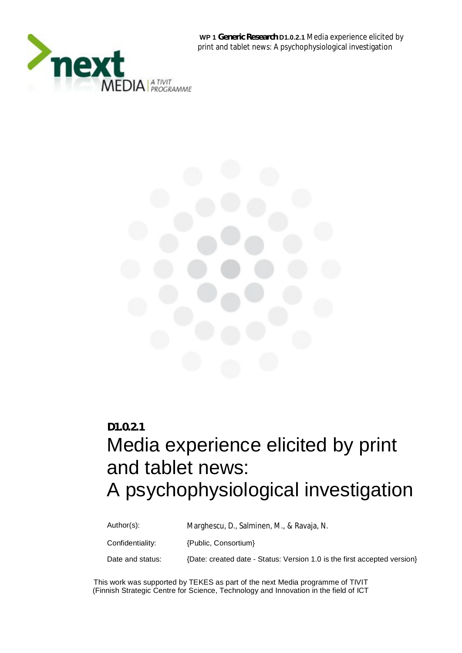

 **WP 1 Generic Research D1.0.2.1** Media experience elicited by print and tablet news: A psychophysiological investigation



# **D1.0.2.1**

# Media experience elicited by print and tablet news: A psychophysiological investigation

Author(s): Marghescu, D., Salminen, M., & Ravaja, N. Confidentiality: {Public, Consortium} Date and status: {Date: created date - Status: Version 1.0 is the first accepted version}

This work was supported by TEKES as part of the next Media programme of TIVIT (Finnish Strategic Centre for Science, Technology and Innovation in the field of ICT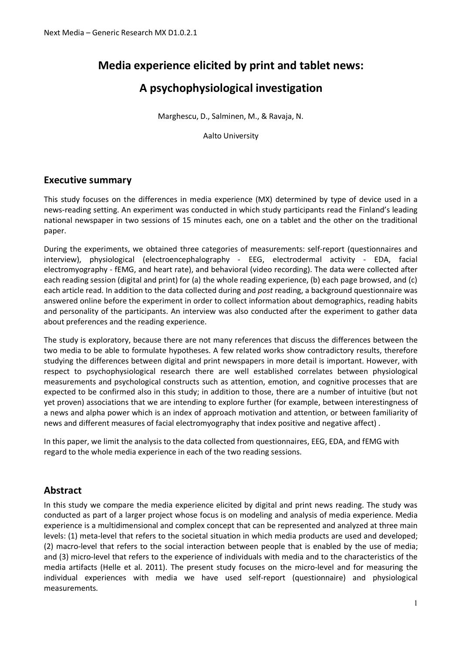# **Media experience elicited by print and tablet news:**

# **A psychophysiological investigation**

Marghescu, D., Salminen, M., & Ravaja, N.

Aalto University

# **Executive summary**

This study focuses on the differences in media experience (MX) determined by type of device used in a news-reading setting. An experiment was conducted in which study participants read the Finland's leading national newspaper in two sessions of 15 minutes each, one on a tablet and the other on the traditional paper.

During the experiments, we obtained three categories of measurements: self-report (questionnaires and interview), physiological (electroencephalography - EEG, electrodermal activity - EDA, facial electromyography - fEMG, and heart rate), and behavioral (video recording). The data were collected after each reading session (digital and print) for (a) the whole reading experience, (b) each page browsed, and (c) each article read. In addition to the data collected during and *post* reading, a background questionnaire was answered online before the experiment in order to collect information about demographics, reading habits and personality of the participants. An interview was also conducted after the experiment to gather data about preferences and the reading experience.

The study is exploratory, because there are not many references that discuss the differences between the two media to be able to formulate hypotheses. A few related works show contradictory results, therefore studying the differences between digital and print newspapers in more detail is important. However, with respect to psychophysiological research there are well established correlates between physiological measurements and psychological constructs such as attention, emotion, and cognitive processes that are expected to be confirmed also in this study; in addition to those, there are a number of intuitive (but not yet proven) associations that we are intending to explore further (for example, between interestingness of a news and alpha power which is an index of approach motivation and attention, or between familiarity of news and different measures of facial electromyography that index positive and negative affect) .

In this paper, we limit the analysis to the data collected from questionnaires, EEG, EDA, and fEMG with regard to the whole media experience in each of the two reading sessions.

# **Abstract**

In this study we compare the media experience elicited by digital and print news reading. The study was conducted as part of a larger project whose focus is on modeling and analysis of media experience. Media experience is a multidimensional and complex concept that can be represented and analyzed at three main levels: (1) meta-level that refers to the societal situation in which media products are used and developed; (2) macro-level that refers to the social interaction between people that is enabled by the use of media; and (3) micro-level that refers to the experience of individuals with media and to the characteristics of the media artifacts (Helle et al. 2011). The present study focuses on the micro-level and for measuring the individual experiences with media we have used self-report (questionnaire) and physiological measurements.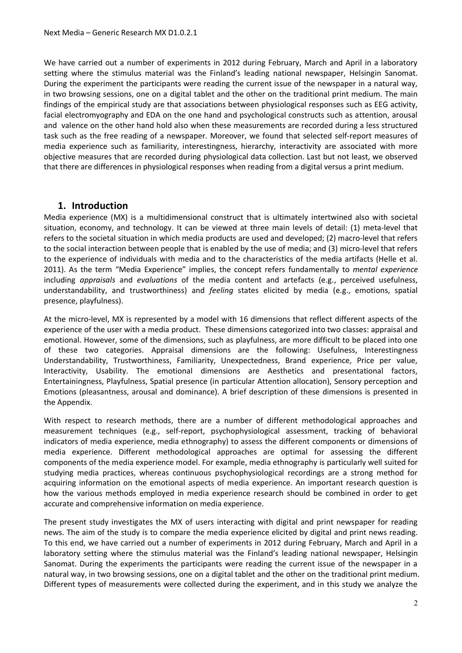We have carried out a number of experiments in 2012 during February, March and April in a laboratory setting where the stimulus material was the Finland's leading national newspaper, Helsingin Sanomat. During the experiment the participants were reading the current issue of the newspaper in a natural way, in two browsing sessions, one on a digital tablet and the other on the traditional print medium. The main findings of the empirical study are that associations between physiological responses such as EEG activity, facial electromyography and EDA on the one hand and psychological constructs such as attention, arousal and valence on the other hand hold also when these measurements are recorded during a less structured task such as the free reading of a newspaper. Moreover, we found that selected self-report measures of media experience such as familiarity, interestingness, hierarchy, interactivity are associated with more objective measures that are recorded during physiological data collection. Last but not least, we observed that there are differences in physiological responses when reading from a digital versus a print medium.

# **1. Introduction**

Media experience (MX) is a multidimensional construct that is ultimately intertwined also with societal situation, economy, and technology. It can be viewed at three main levels of detail: (1) meta-level that refers to the societal situation in which media products are used and developed; (2) macro-level that refers to the social interaction between people that is enabled by the use of media; and (3) micro-level that refers to the experience of individuals with media and to the characteristics of the media artifacts (Helle et al. 2011). As the term "Media Experience" implies, the concept refers fundamentally to *mental experience* including *appraisals* and *evaluations* of the media content and artefacts (e.g., perceived usefulness, understandability, and trustworthiness) and *feeling* states elicited by media (e.g., emotions, spatial presence, playfulness).

At the micro-level, MX is represented by a model with 16 dimensions that reflect different aspects of the experience of the user with a media product. These dimensions categorized into two classes: appraisal and emotional. However, some of the dimensions, such as playfulness, are more difficult to be placed into one of these two categories. Appraisal dimensions are the following: Usefulness, Interestingness Understandability, Trustworthiness, Familiarity, Unexpectedness, Brand experience, Price per value, Interactivity, Usability. The emotional dimensions are Aesthetics and presentational factors, Entertainingness, Playfulness, Spatial presence (in particular Attention allocation), Sensory perception and Emotions (pleasantness, arousal and dominance). A brief description of these dimensions is presented in the Appendix.

With respect to research methods, there are a number of different methodological approaches and measurement techniques (e.g., self-report, psychophysiological assessment, tracking of behavioral indicators of media experience, media ethnography) to assess the different components or dimensions of media experience. Different methodological approaches are optimal for assessing the different components of the media experience model. For example, media ethnography is particularly well suited for studying media practices, whereas continuous psychophysiological recordings are a strong method for acquiring information on the emotional aspects of media experience. An important research question is how the various methods employed in media experience research should be combined in order to get accurate and comprehensive information on media experience.

The present study investigates the MX of users interacting with digital and print newspaper for reading news. The aim of the study is to compare the media experience elicited by digital and print news reading. To this end, we have carried out a number of experiments in 2012 during February, March and April in a laboratory setting where the stimulus material was the Finland's leading national newspaper, Helsingin Sanomat. During the experiments the participants were reading the current issue of the newspaper in a natural way, in two browsing sessions, one on a digital tablet and the other on the traditional print medium. Different types of measurements were collected during the experiment, and in this study we analyze the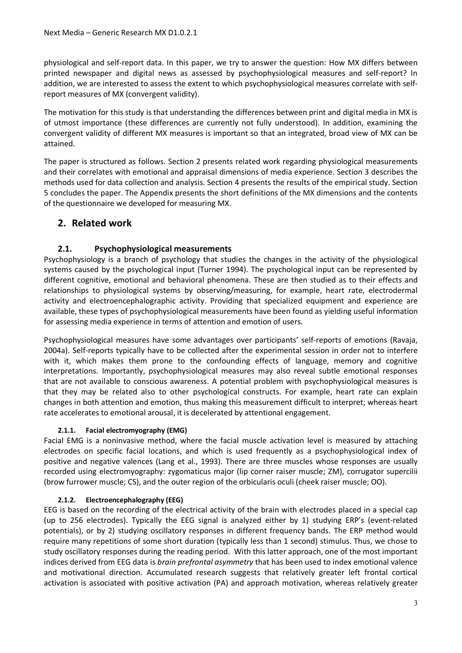physiological and self-report data. In this paper, we try to answer the question: How MX differs between printed newspaper and digital news as assessed by psychophysiological measures and self-report? In addition, we are interested to assess the extent to which psychophysiological measures correlate with selfreport measures of MX (convergent validity).

The motivation for this study is that understanding the differences between print and digital media in MX is of utmost importance (these differences are currently not fully understood). In addition, examining the convergent validity of different MX measures is important so that an integrated, broad view of MX can be attained.

The paper is structured as follows. Section 2 presents related work regarding physiological measurements and their correlates with emotional and appraisal dimensions of media experience. Section 3 describes the methods used for data collection and analysis. Section 4 presents the results of the empirical study. Section 5 concludes the paper. The Appendix presents the short definitions of the MX dimensions and the contents of the questionnaire we developed for measuring MX.

# **2. Related work**

# **2.1. Psychophysiological measurements**

Psychophysiology is a branch of psychology that studies the changes in the activity of the physiological systems caused by the psychological input (Turner 1994). The psychological input can be represented by different cognitive, emotional and behavioral phenomena. These are then studied as to their effects and relationships to physiological systems by observing/measuring, for example, heart rate, electrodermal activity and electroencephalographic activity. Providing that specialized equipment and experience are available, these types of psychophysiological measurements have been found as yielding useful information for assessing media experience in terms of attention and emotion of users.

Psychophysiological measures have some advantages over participants' self-reports of emotions (Ravaja, 2004a). Self-reports typically have to be collected after the experimental session in order not to interfere with it, which makes them prone to the confounding effects of language, memory and cognitive interpretations. Importantly, psychophysiological measures may also reveal subtle emotional responses that are not available to conscious awareness. A potential problem with psychophysiological measures is that they may be related also to other psychological constructs. For example, heart rate can explain changes in both attention and emotion, thus making this measurement difficult to interpret; whereas heart rate accelerates to emotional arousal, it is decelerated by attentional engagement.

#### **2.1.1. Facial electromyography (EMG)**

Facial EMG is a noninvasive method, where the facial muscle activation level is measured by attaching electrodes on specific facial locations, and which is used frequently as a psychophysiological index of positive and negative valences (Lang et al., 1993). There are three muscles whose responses are usually recorded using electromyography: zygomaticus major (lip corner raiser muscle; ZM), corrugator supercilii (brow furrower muscle; CS), and the outer region of the orbicularis oculi (cheek raiser muscle; OO).

# **2.1.2. Electroencephalography (EEG)**

EEG is based on the recording of the electrical activity of the brain with electrodes placed in a special cap (up to 256 electrodes). Typically the EEG signal is analyzed either by 1) studying ERP's (event-related potentials), or by 2) studying oscillatory responses in different frequency bands. The ERP method would require many repetitions of some short duration (typically less than 1 second) stimulus. Thus, we chose to study oscillatory responses during the reading period. With this latter approach, one of the most important indices derived from EEG data is *brain prefrontal asymmetry* that has been used to index emotional valence and motivational direction. Accumulated research suggests that relatively greater left frontal cortical activation is associated with positive activation (PA) and approach motivation, whereas relatively greater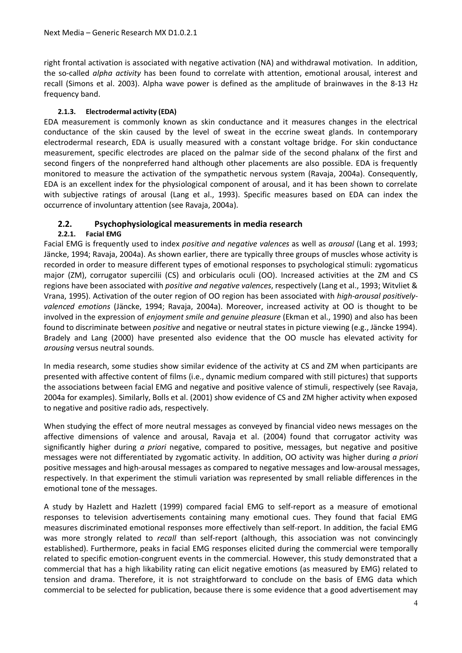right frontal activation is associated with negative activation (NA) and withdrawal motivation. In addition, the so-called *alpha activity* has been found to correlate with attention, emotional arousal, interest and recall (Simons et al. 2003). Alpha wave power is defined as the amplitude of brainwaves in the 8-13 Hz frequency band.

## **2.1.3. Electrodermal activity (EDA)**

EDA measurement is commonly known as skin conductance and it measures changes in the electrical conductance of the skin caused by the level of sweat in the eccrine sweat glands. In contemporary electrodermal research, EDA is usually measured with a constant voltage bridge. For skin conductance measurement, specific electrodes are placed on the palmar side of the second phalanx of the first and second fingers of the nonpreferred hand although other placements are also possible. EDA is frequently monitored to measure the activation of the sympathetic nervous system (Ravaja, 2004a). Consequently, EDA is an excellent index for the physiological component of arousal, and it has been shown to correlate with subjective ratings of arousal (Lang et al., 1993). Specific measures based on EDA can index the occurrence of involuntary attention (see Ravaja, 2004a).

# **2.2. Psychophysiological measurements in media research**

# **2.2.1. Facial EMG**

Facial EMG is frequently used to index *positive and negative valences* as well as *arousal* (Lang et al. 1993; Jäncke, 1994; Ravaja, 2004a). As shown earlier, there are typically three groups of muscles whose activity is recorded in order to measure different types of emotional responses to psychological stimuli: zygomaticus major (ZM), corrugator supercilii (CS) and orbicularis oculi (OO). Increased activities at the ZM and CS regions have been associated with *positive and negative valences*, respectively (Lang et al., 1993; Witvliet & Vrana, 1995). Activation of the outer region of OO region has been associated with *high-arousal positivelyvalenced emotions* (Jäncke, 1994; Ravaja, 2004a). Moreover, increased activity at OO is thought to be involved in the expression of *enjoyment smile and genuine pleasure* (Ekman et al., 1990) and also has been found to discriminate between *positive* and negative or neutral states in picture viewing (e.g., Jäncke 1994). Bradely and Lang (2000) have presented also evidence that the OO muscle has elevated activity for *arousing* versus neutral sounds.

In media research, some studies show similar evidence of the activity at CS and ZM when participants are presented with affective content of films (i.e., dynamic medium compared with still pictures) that supports the associations between facial EMG and negative and positive valence of stimuli, respectively (see Ravaja, 2004a for examples). Similarly, Bolls et al. (2001) show evidence of CS and ZM higher activity when exposed to negative and positive radio ads, respectively.

When studying the effect of more neutral messages as conveyed by financial video news messages on the affective dimensions of valence and arousal, Ravaja et al. (2004) found that corrugator activity was significantly higher during *a priori* negative, compared to positive, messages, but negative and positive messages were not differentiated by zygomatic activity. In addition, OO activity was higher during *a priori* positive messages and high-arousal messages as compared to negative messages and low-arousal messages, respectively. In that experiment the stimuli variation was represented by small reliable differences in the emotional tone of the messages.

A study by Hazlett and Hazlett (1999) compared facial EMG to self-report as a measure of emotional responses to television advertisements containing many emotional cues. They found that facial EMG measures discriminated emotional responses more effectively than self-report. In addition, the facial EMG was more strongly related to *recall* than self-report (although, this association was not convincingly established). Furthermore, peaks in facial EMG responses elicited during the commercial were temporally related to specific emotion-congruent events in the commercial. However, this study demonstrated that a commercial that has a high likability rating can elicit negative emotions (as measured by EMG) related to tension and drama. Therefore, it is not straightforward to conclude on the basis of EMG data which commercial to be selected for publication, because there is some evidence that a good advertisement may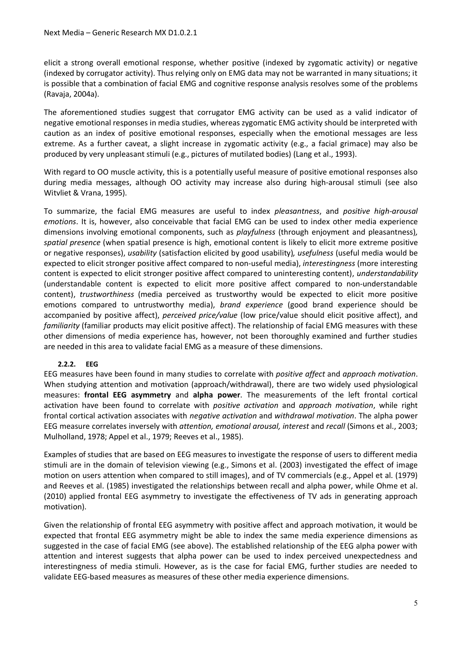elicit a strong overall emotional response, whether positive (indexed by zygomatic activity) or negative (indexed by corrugator activity). Thus relying only on EMG data may not be warranted in many situations; it is possible that a combination of facial EMG and cognitive response analysis resolves some of the problems (Ravaja, 2004a).

The aforementioned studies suggest that corrugator EMG activity can be used as a valid indicator of negative emotional responses in media studies, whereas zygomatic EMG activity should be interpreted with caution as an index of positive emotional responses, especially when the emotional messages are less extreme. As a further caveat, a slight increase in zygomatic activity (e.g., a facial grimace) may also be produced by very unpleasant stimuli (e.g., pictures of mutilated bodies) (Lang et al., 1993).

With regard to OO muscle activity, this is a potentially useful measure of positive emotional responses also during media messages, although OO activity may increase also during high-arousal stimuli (see also Witvliet & Vrana, 1995).

To summarize, the facial EMG measures are useful to index *pleasantness*, and *positive high-arousal emotions*. It is, however, also conceivable that facial EMG can be used to index other media experience dimensions involving emotional components, such as *playfulness* (through enjoyment and pleasantness)*, spatial presence* (when spatial presence is high, emotional content is likely to elicit more extreme positive or negative responses), *usability* (satisfaction elicited by good usability)*, usefulness* (useful media would be expected to elicit stronger positive affect compared to non-useful media), *interestingness* (more interesting content is expected to elicit stronger positive affect compared to uninteresting content), *understandability* (understandable content is expected to elicit more positive affect compared to non-understandable content), *trustworthiness* (media perceived as trustworthy would be expected to elicit more positive emotions compared to untrustworthy media), *brand experience* (good brand experience should be accompanied by positive affect), *perceived price/value* (low price/value should elicit positive affect), and *familiarity* (familiar products may elicit positive affect). The relationship of facial EMG measures with these other dimensions of media experience has, however, not been thoroughly examined and further studies are needed in this area to validate facial EMG as a measure of these dimensions.

#### **2.2.2. EEG**

EEG measures have been found in many studies to correlate with *positive affect* and *approach motivation*. When studying attention and motivation (approach/withdrawal), there are two widely used physiological measures: **frontal EEG asymmetry** and **alpha power**. The measurements of the left frontal cortical activation have been found to correlate with *positive activation* and *approach motivation*, while right frontal cortical activation associates with *negative activation* and *withdrawal motivation*. The alpha power EEG measure correlates inversely with *attention, emotional arousal, interest* and *recall* (Simons et al., 2003; Mulholland, 1978; Appel et al., 1979; Reeves et al., 1985).

Examples of studies that are based on EEG measures to investigate the response of users to different media stimuli are in the domain of television viewing (e.g., Simons et al. (2003) investigated the effect of image motion on users attention when compared to still images), and of TV commercials (e.g., Appel et al. (1979) and Reeves et al. (1985) investigated the relationships between recall and alpha power, while Ohme et al. (2010) applied frontal EEG asymmetry to investigate the effectiveness of TV ads in generating approach motivation).

Given the relationship of frontal EEG asymmetry with positive affect and approach motivation, it would be expected that frontal EEG asymmetry might be able to index the same media experience dimensions as suggested in the case of facial EMG (see above). The established relationship of the EEG alpha power with attention and interest suggests that alpha power can be used to index perceived unexpectedness and interestingness of media stimuli. However, as is the case for facial EMG, further studies are needed to validate EEG-based measures as measures of these other media experience dimensions.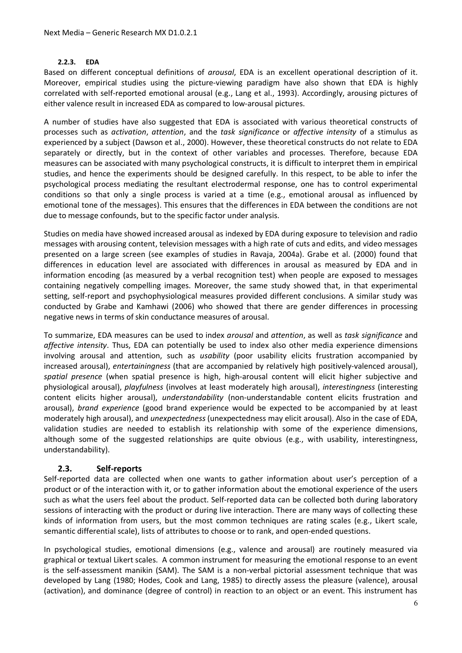#### **2.2.3. EDA**

Based on different conceptual definitions of *arousal*, EDA is an excellent operational description of it. Moreover, empirical studies using the picture-viewing paradigm have also shown that EDA is highly correlated with self-reported emotional arousal (e.g., Lang et al., 1993). Accordingly, arousing pictures of either valence result in increased EDA as compared to low-arousal pictures.

A number of studies have also suggested that EDA is associated with various theoretical constructs of processes such as *activation*, *attention*, and the *task significance* or *affective intensity* of a stimulus as experienced by a subject (Dawson et al., 2000). However, these theoretical constructs do not relate to EDA separately or directly, but in the context of other variables and processes. Therefore, because EDA measures can be associated with many psychological constructs, it is difficult to interpret them in empirical studies, and hence the experiments should be designed carefully. In this respect, to be able to infer the psychological process mediating the resultant electrodermal response, one has to control experimental conditions so that only a single process is varied at a time (e.g., emotional arousal as influenced by emotional tone of the messages). This ensures that the differences in EDA between the conditions are not due to message confounds, but to the specific factor under analysis.

Studies on media have showed increased arousal as indexed by EDA during exposure to television and radio messages with arousing content, television messages with a high rate of cuts and edits, and video messages presented on a large screen (see examples of studies in Ravaja, 2004a). Grabe et al. (2000) found that differences in education level are associated with differences in arousal as measured by EDA and in information encoding (as measured by a verbal recognition test) when people are exposed to messages containing negatively compelling images. Moreover, the same study showed that, in that experimental setting, self-report and psychophysiological measures provided different conclusions. A similar study was conducted by Grabe and Kamhawi (2006) who showed that there are gender differences in processing negative news in terms of skin conductance measures of arousal.

To summarize, EDA measures can be used to index *arousal* and *attention*, as well as *task significance* and *affective intensity*. Thus, EDA can potentially be used to index also other media experience dimensions involving arousal and attention, such as *usability* (poor usability elicits frustration accompanied by increased arousal), *entertainingness* (that are accompanied by relatively high positively-valenced arousal), *spatial presence* (when spatial presence is high, high-arousal content will elicit higher subjective and physiological arousal), *playfulness* (involves at least moderately high arousal), *interestingness* (interesting content elicits higher arousal), *understandability* (non-understandable content elicits frustration and arousal), *brand experience* (good brand experience would be expected to be accompanied by at least moderately high arousal), and *unexpectedness* (unexpectedness may elicit arousal). Also in the case of EDA, validation studies are needed to establish its relationship with some of the experience dimensions, although some of the suggested relationships are quite obvious (e.g., with usability, interestingness, understandability).

#### **2.3. Self-reports**

Self-reported data are collected when one wants to gather information about user's perception of a product or of the interaction with it, or to gather information about the emotional experience of the users such as what the users feel about the product. Self-reported data can be collected both during laboratory sessions of interacting with the product or during live interaction. There are many ways of collecting these kinds of information from users, but the most common techniques are rating scales (e.g., Likert scale, semantic differential scale), lists of attributes to choose or to rank, and open-ended questions.

In psychological studies, emotional dimensions (e.g., valence and arousal) are routinely measured via graphical or textual Likert scales. A common instrument for measuring the emotional response to an event is the self-assessment manikin (SAM). The SAM is a non-verbal pictorial assessment technique that was developed by Lang (1980; Hodes, Cook and Lang, 1985) to directly assess the pleasure (valence), arousal (activation), and dominance (degree of control) in reaction to an object or an event. This instrument has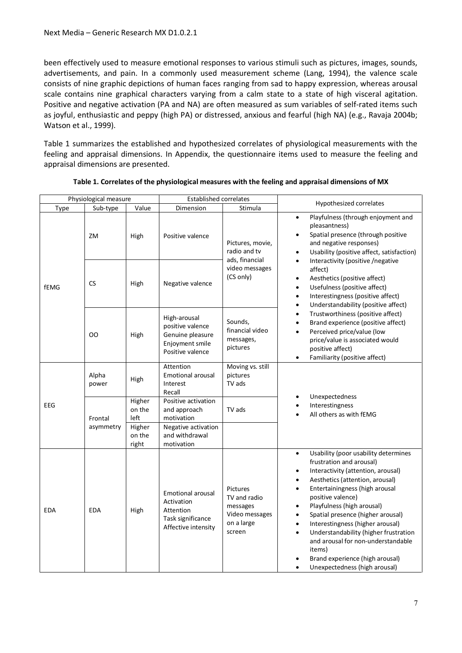been effectively used to measure emotional responses to various stimuli such as pictures, images, sounds, advertisements, and pain. In a commonly used measurement scheme (Lang, 1994), the valence scale consists of nine graphic depictions of human faces ranging from sad to happy expression, whereas arousal scale contains nine graphical characters varying from a calm state to a state of high visceral agitation. Positive and negative activation (PA and NA) are often measured as sum variables of self-rated items such as joyful, enthusiastic and peppy (high PA) or distressed, anxious and fearful (high NA) (e.g., Ravaja 2004b; Watson et al., 1999).

Table 1 summarizes the established and hypothesized correlates of physiological measurements with the feeling and appraisal dimensions. In Appendix, the questionnaire items used to measure the feeling and appraisal dimensions are presented.

|            | Physiological measure<br><b>Established correlates</b> |                           | Hypothesized correlates                                                                         |                                                                                |                                                                                                                                                                                                                                                                                                                                                                                                                                                                                                                                                                                           |
|------------|--------------------------------------------------------|---------------------------|-------------------------------------------------------------------------------------------------|--------------------------------------------------------------------------------|-------------------------------------------------------------------------------------------------------------------------------------------------------------------------------------------------------------------------------------------------------------------------------------------------------------------------------------------------------------------------------------------------------------------------------------------------------------------------------------------------------------------------------------------------------------------------------------------|
| Type       | Sub-type                                               | Value                     | Dimension                                                                                       | Stimula                                                                        |                                                                                                                                                                                                                                                                                                                                                                                                                                                                                                                                                                                           |
| fEMG       | ZM                                                     | High                      | Positive valence                                                                                | Pictures, movie,<br>radio and tv<br>ads, financial                             | Playfulness (through enjoyment and<br>$\bullet$<br>pleasantness)<br>Spatial presence (through positive<br>$\bullet$<br>and negative responses)<br>Usability (positive affect, satisfaction)<br>$\bullet$                                                                                                                                                                                                                                                                                                                                                                                  |
|            | <b>CS</b>                                              | High                      | Negative valence                                                                                | video messages<br>(CS only)                                                    | Interactivity (positive /negative<br>affect)<br>Aesthetics (positive affect)<br>$\bullet$<br>Usefulness (positive affect)<br>$\bullet$<br>Interestingness (positive affect)<br>$\bullet$<br>Understandability (positive affect)<br>$\bullet$                                                                                                                                                                                                                                                                                                                                              |
|            | OO                                                     | High                      | High-arousal<br>positive valence<br>Genuine pleasure<br>Enjoyment smile<br>Positive valence     | Sounds,<br>financial video<br>messages,<br>pictures                            | Trustworthiness (positive affect)<br>$\bullet$<br>Brand experience (positive affect)<br>$\bullet$<br>Perceived price/value (low<br>$\bullet$<br>price/value is associated would<br>positive affect)<br>Familiarity (positive affect)<br>$\bullet$                                                                                                                                                                                                                                                                                                                                         |
|            | Alpha<br>power                                         | High                      | Attention<br><b>Emotional arousal</b><br>Interest<br>Recall                                     | Moving vs. still<br>pictures<br>TV ads                                         |                                                                                                                                                                                                                                                                                                                                                                                                                                                                                                                                                                                           |
| <b>EEG</b> | Frontal<br>asymmetry                                   | Higher<br>on the<br>left  | Positive activation<br>and approach<br>motivation                                               | TV ads                                                                         | Unexpectedness<br>Interestingness<br>$\bullet$<br>All others as with fEMG                                                                                                                                                                                                                                                                                                                                                                                                                                                                                                                 |
|            |                                                        | Higher<br>on the<br>right | Negative activation<br>and withdrawal<br>motivation                                             |                                                                                |                                                                                                                                                                                                                                                                                                                                                                                                                                                                                                                                                                                           |
| <b>EDA</b> | <b>EDA</b>                                             | High                      | <b>Emotional arousal</b><br>Activation<br>Attention<br>Task significance<br>Affective intensity | Pictures<br>TV and radio<br>messages<br>Video messages<br>on a large<br>screen | Usability (poor usability determines<br>$\bullet$<br>frustration and arousal)<br>Interactivity (attention, arousal)<br>$\bullet$<br>Aesthetics (attention, arousal)<br>$\bullet$<br>Entertainingness (high arousal<br>$\bullet$<br>positive valence)<br>Playfulness (high arousal)<br>$\bullet$<br>Spatial presence (higher arousal)<br>$\bullet$<br>Interestingness (higher arousal)<br>$\bullet$<br>Understandability (higher frustration<br>$\bullet$<br>and arousal for non-understandable<br>items)<br>Brand experience (high arousal)<br>Unexpectedness (high arousal)<br>$\bullet$ |

**Table 1. Correlates of the physiological measures with the feeling and appraisal dimensions of MX**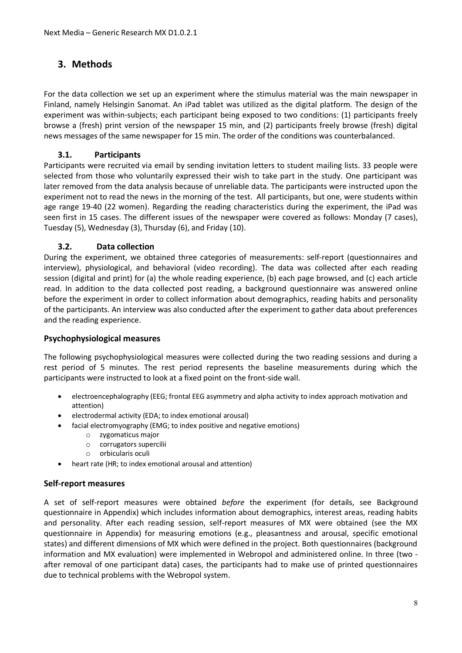# **3. Methods**

For the data collection we set up an experiment where the stimulus material was the main newspaper in Finland, namely Helsingin Sanomat. An iPad tablet was utilized as the digital platform. The design of the experiment was within-subjects; each participant being exposed to two conditions: (1) participants freely browse a (fresh) print version of the newspaper 15 min, and (2) participants freely browse (fresh) digital news messages of the same newspaper for 15 min. The order of the conditions was counterbalanced.

# **3.1. Participants**

Participants were recruited via email by sending invitation letters to student mailing lists. 33 people were selected from those who voluntarily expressed their wish to take part in the study. One participant was later removed from the data analysis because of unreliable data. The participants were instructed upon the experiment not to read the news in the morning of the test. All participants, but one, were students within age range 19-40 (22 women). Regarding the reading characteristics during the experiment, the iPad was seen first in 15 cases. The different issues of the newspaper were covered as follows: Monday (7 cases), Tuesday (5), Wednesday (3), Thursday (6), and Friday (10).

# **3.2. Data collection**

During the experiment, we obtained three categories of measurements: self-report (questionnaires and interview), physiological, and behavioral (video recording). The data was collected after each reading session (digital and print) for (a) the whole reading experience, (b) each page browsed, and (c) each article read. In addition to the data collected post reading, a background questionnaire was answered online before the experiment in order to collect information about demographics, reading habits and personality of the participants. An interview was also conducted after the experiment to gather data about preferences and the reading experience.

#### **Psychophysiological measures**

The following psychophysiological measures were collected during the two reading sessions and during a rest period of 5 minutes. The rest period represents the baseline measurements during which the participants were instructed to look at a fixed point on the front-side wall.

- electroencephalography (EEG; frontal EEG asymmetry and alpha activity to index approach motivation and attention)
- electrodermal activity (EDA; to index emotional arousal)
- facial electromyography (EMG; to index positive and negative emotions)
	- o zygomaticus major
	- o corrugators supercilii
	- o orbicularis oculi
- heart rate (HR; to index emotional arousal and attention)

#### **Self-report measures**

A set of self-report measures were obtained *before* the experiment (for details, see Background questionnaire in Appendix) which includes information about demographics, interest areas, reading habits and personality. After each reading session, self-report measures of MX were obtained (see the MX questionnaire in Appendix) for measuring emotions (e.g., pleasantness and arousal, specific emotional states) and different dimensions of MX which were defined in the project. Both questionnaires (background information and MX evaluation) were implemented in Webropol and administered online. In three (two after removal of one participant data) cases, the participants had to make use of printed questionnaires due to technical problems with the Webropol system.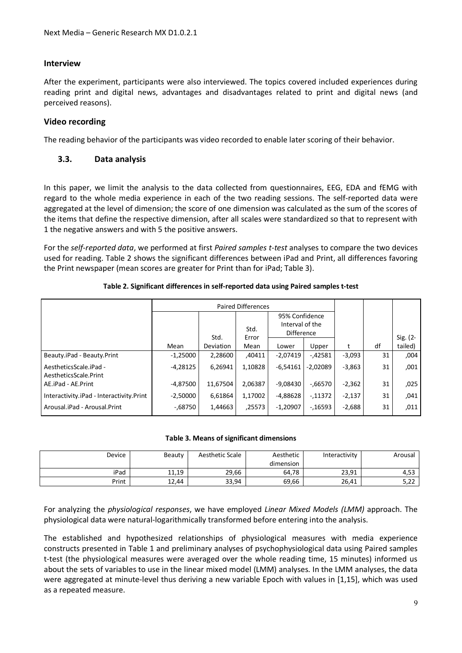#### **Interview**

After the experiment, participants were also interviewed. The topics covered included experiences during reading print and digital news, advantages and disadvantages related to print and digital news (and perceived reasons).

#### **Video recording**

The reading behavior of the participants was video recorded to enable later scoring of their behavior.

#### **3.3. Data analysis**

In this paper, we limit the analysis to the data collected from questionnaires, EEG, EDA and fEMG with regard to the whole media experience in each of the two reading sessions. The self-reported data were aggregated at the level of dimension; the score of one dimension was calculated as the sum of the scores of the items that define the respective dimension, after all scales were standardized so that to represent with 1 the negative answers and with 5 the positive answers.

For the *self-reported data*, we performed at first *Paired samples t-test* analyses to compare the two devices used for reading. Table 2 shows the significant differences between iPad and Print, all differences favoring the Print newspaper (mean scores are greater for Print than for iPad; Table 3).

| <b>Paired Differences</b>                       |            |                  |               |                                                        |            |          |    |          |
|-------------------------------------------------|------------|------------------|---------------|--------------------------------------------------------|------------|----------|----|----------|
|                                                 | Std.       |                  | Std.<br>Error | 95% Confidence<br>Interval of the<br><b>Difference</b> |            |          |    | Sig. (2- |
|                                                 | Mean       | <b>Deviation</b> | Mean          | Lower                                                  | Upper      | t        | df | tailed)  |
| Beauty.iPad - Beauty.Print                      | $-1,25000$ | 2,28600          | ,40411        | $-2.07419$                                             | $-0.42581$ | $-3,093$ | 31 | ,004     |
| AestheticsScale.iPad -<br>AestheticsScale.Print | $-4,28125$ | 6,26941          | 1.10828       | $-6.54161$                                             | $-2.02089$ | $-3,863$ | 31 | ,001     |
| AE.iPad - AE.Print                              | $-4,87500$ | 11,67504         | 2,06387       | $-9.08430$                                             | $-0.66570$ | $-2,362$ | 31 | ,025     |
| Interactivity.iPad - Interactivity.Print        | $-2,50000$ | 6,61864          | 1.17002       | $-4.88628$                                             | $-11372$   | $-2,137$ | 31 | .041     |
| Arousal.iPad - Arousal.Print                    | -.68750    | 1,44663          | ,25573        | $-1.20907$                                             | $-16593$   | $-2,688$ | 31 | .011     |

#### **Table 2. Significant differences in self-reported data using Paired samples t-test**

#### **Table 3. Means of significant dimensions**

| Device | Beauty | Aesthetic Scale | Aesthetic | Interactivity | Arousal     |
|--------|--------|-----------------|-----------|---------------|-------------|
|        |        |                 | dimension |               |             |
| iPad   | 11,19  | 29,66           | 64,78     | 23,91         | 4,53        |
| Print  | 12.44  | 33,94           | 69,66     | 26.41         | ר ה<br>J,ZZ |

For analyzing the *physiological responses*, we have employed *Linear Mixed Models (LMM)* approach. The physiological data were natural-logarithmically transformed before entering into the analysis.

The established and hypothesized relationships of physiological measures with media experience constructs presented in Table 1 and preliminary analyses of psychophysiological data using Paired samples t-test (the physiological measures were averaged over the whole reading time, 15 minutes) informed us about the sets of variables to use in the linear mixed model (LMM) analyses. In the LMM analyses, the data were aggregated at minute-level thus deriving a new variable Epoch with values in [1,15], which was used as a repeated measure.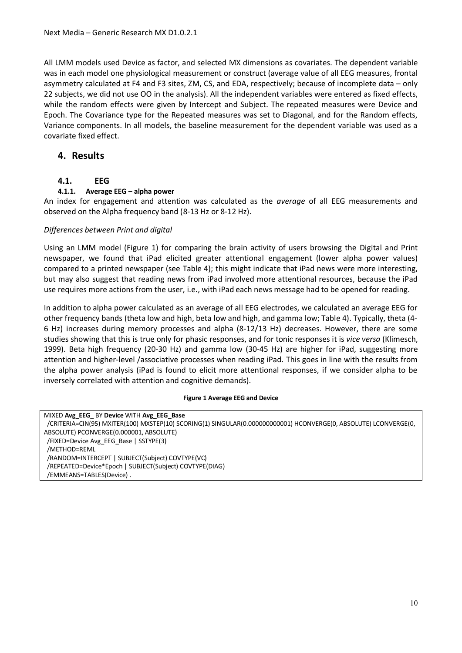All LMM models used Device as factor, and selected MX dimensions as covariates. The dependent variable was in each model one physiological measurement or construct (average value of all EEG measures, frontal asymmetry calculated at F4 and F3 sites, ZM, CS, and EDA, respectively; because of incomplete data – only 22 subjects, we did not use OO in the analysis). All the independent variables were entered as fixed effects, while the random effects were given by Intercept and Subject. The repeated measures were Device and Epoch. The Covariance type for the Repeated measures was set to Diagonal, and for the Random effects, Variance components. In all models, the baseline measurement for the dependent variable was used as a covariate fixed effect.

# **4. Results**

# **4.1. EEG**

#### **4.1.1. Average EEG – alpha power**

An index for engagement and attention was calculated as the *average* of all EEG measurements and observed on the Alpha frequency band (8-13 Hz or 8-12 Hz).

#### *Differences between Print and digital*

Using an LMM model (Figure 1) for comparing the brain activity of users browsing the Digital and Print newspaper, we found that iPad elicited greater attentional engagement (lower alpha power values) compared to a printed newspaper (see Table 4); this might indicate that iPad news were more interesting, but may also suggest that reading news from iPad involved more attentional resources, because the iPad use requires more actions from the user, i.e., with iPad each news message had to be opened for reading.

In addition to alpha power calculated as an average of all EEG electrodes, we calculated an average EEG for other frequency bands (theta low and high, beta low and high, and gamma low; Table 4). Typically, theta (4- 6 Hz) increases during memory processes and alpha (8-12/13 Hz) decreases. However, there are some studies showing that this is true only for phasic responses, and for tonic responses it is *vice versa* (Klimesch, 1999). Beta high frequency (20-30 Hz) and gamma low (30-45 Hz) are higher for iPad, suggesting more attention and higher-level /associative processes when reading iPad. This goes in line with the results from the alpha power analysis (iPad is found to elicit more attentional responses, if we consider alpha to be inversely correlated with attention and cognitive demands).

#### **Figure 1 Average EEG and Device**

| MIXED Avg EEG BY Device WITH Avg EEG Base                                                                        |
|------------------------------------------------------------------------------------------------------------------|
| /CRITERIA=CIN(95) MXITER(100) MXSTEP(10) SCORING(1) SINGULAR(0.000000000001) HCONVERGE(0, ABSOLUTE) LCONVERGE(0, |
| ABSOLUTE) PCONVERGE(0.000001, ABSOLUTE)                                                                          |
| /FIXED=Device Avg EEG Base   SSTYPE(3)                                                                           |
| /METHOD=REML                                                                                                     |
| /RANDOM=INTERCEPT   SUBJECT(Subject) COVTYPE(VC)                                                                 |
| /REPEATED=Device*Epoch   SUBJECT(Subject) COVTYPE(DIAG)                                                          |
| /EMMEANS=TABLES(Device).                                                                                         |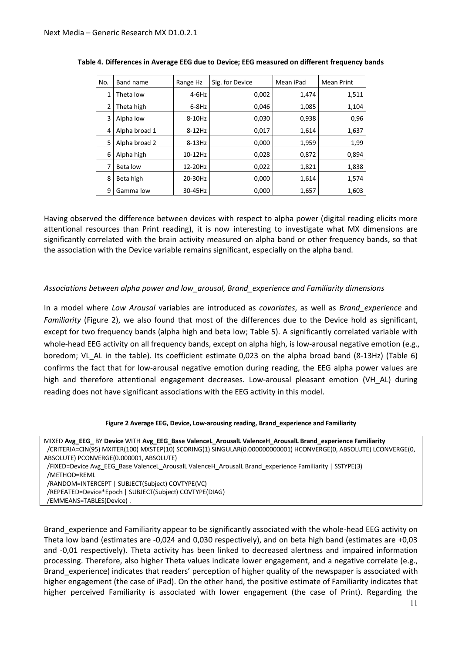| No. | Band name     | Range Hz | Sig. for Device | Mean iPad | <b>Mean Print</b> |
|-----|---------------|----------|-----------------|-----------|-------------------|
| 1   | Theta low     | $4-6$ Hz | 0,002           | 1,474     | 1,511             |
| 2   | Theta high    | $6-8$ Hz | 0,046           | 1,085     | 1,104             |
| 3   | Alpha low     | 8-10Hz   | 0,030           | 0,938     | 0,96              |
| 4   | Alpha broad 1 | $8-12Hz$ | 0,017           | 1,614     | 1,637             |
| 5   | Alpha broad 2 | $8-13Hz$ | 0,000           | 1,959     | 1,99              |
| 6   | Alpha high    | 10-12Hz  | 0,028           | 0,872     | 0,894             |
| 7   | Beta low      | 12-20Hz  | 0,022           | 1,821     | 1,838             |
| 8   | Beta high     | 20-30Hz  | 0,000           | 1,614     | 1,574             |
| 9   | Gamma low     | 30-45Hz  | 0,000           | 1,657     | 1,603             |

|  |  |  |  |  | Table 4. Differences in Average EEG due to Device; EEG measured on different frequency bands |  |
|--|--|--|--|--|----------------------------------------------------------------------------------------------|--|
|--|--|--|--|--|----------------------------------------------------------------------------------------------|--|

Having observed the difference between devices with respect to alpha power (digital reading elicits more attentional resources than Print reading), it is now interesting to investigate what MX dimensions are significantly correlated with the brain activity measured on alpha band or other frequency bands, so that the association with the Device variable remains significant, especially on the alpha band.

#### *Associations between alpha power and low\_arousal, Brand\_experience and Familiarity dimensions*

In a model where *Low Arousal* variables are introduced as *covariates*, as well as *Brand\_experience* and *Familiarity* (Figure 2), we also found that most of the differences due to the Device hold as significant, except for two frequency bands (alpha high and beta low; Table 5). A significantly correlated variable with whole-head EEG activity on all frequency bands, except on alpha high, is low-arousal negative emotion (e.g., boredom; VL\_AL in the table). Its coefficient estimate 0,023 on the alpha broad band (8-13Hz) (Table 6) confirms the fact that for low-arousal negative emotion during reading, the EEG alpha power values are high and therefore attentional engagement decreases. Low-arousal pleasant emotion (VH\_AL) during reading does not have significant associations with the EEG activity in this model.

|  | Figure 2 Average EEG, Device, Low-arousing reading, Brand_experience and Familiarity |  |
|--|--------------------------------------------------------------------------------------|--|
|--|--------------------------------------------------------------------------------------|--|

| MIXED Avg EEG BY Device WITH Avg EEG Base ValenceL ArousalL ValenceH ArousalL Brand experience Familiarity       |
|------------------------------------------------------------------------------------------------------------------|
| /CRITERIA=CIN(95) MXITER(100) MXSTEP(10) SCORING(1) SINGULAR(0.000000000001) HCONVERGE(0, ABSOLUTE) LCONVERGE(0, |
| ABSOLUTE) PCONVERGE(0.000001, ABSOLUTE)                                                                          |
| (FIXED=Device Avg EEG Base ValenceL ArousalL ValenceH ArousalL Brand experience Familiarity   SSTYPE(3)          |
| /METHOD=REML                                                                                                     |
| /RANDOM=INTERCEPT   SUBJECT(Subject) COVTYPE(VC)                                                                 |
| /REPEATED=Device*Epoch   SUBJECT(Subject) COVTYPE(DIAG)                                                          |
| /EMMEANS=TABLES(Device).                                                                                         |
|                                                                                                                  |

Brand\_experience and Familiarity appear to be significantly associated with the whole-head EEG activity on Theta low band (estimates are -0,024 and 0,030 respectively), and on beta high band (estimates are +0,03 and -0,01 respectively). Theta activity has been linked to decreased alertness and impaired information processing. Therefore, also higher Theta values indicate lower engagement, and a negative correlate (e.g., Brand\_experience) indicates that readers' perception of higher quality of the newspaper is associated with higher engagement (the case of iPad). On the other hand, the positive estimate of Familiarity indicates that higher perceived Familiarity is associated with lower engagement (the case of Print). Regarding the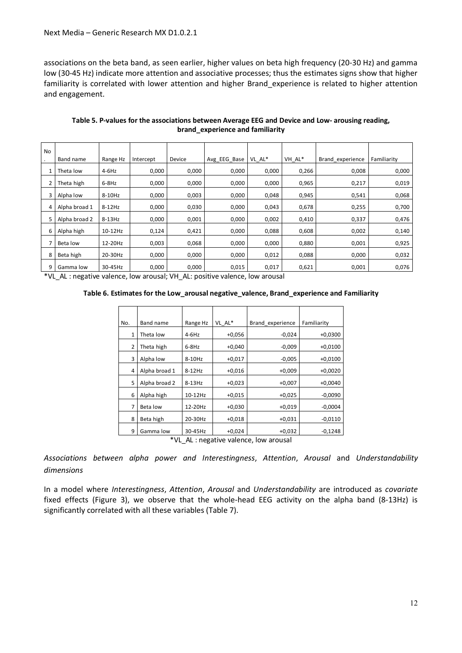associations on the beta band, as seen earlier, higher values on beta high frequency (20-30 Hz) and gamma low (30-45 Hz) indicate more attention and associative processes; thus the estimates signs show that higher familiarity is correlated with lower attention and higher Brand\_experience is related to higher attention and engagement.

| <b>No</b> |               |          |           |        |              |        |        |                  |             |
|-----------|---------------|----------|-----------|--------|--------------|--------|--------|------------------|-------------|
|           | Band name     | Range Hz | Intercept | Device | Avg EEG Base | VL_AL* | VH_AL* | Brand experience | Familiarity |
|           | Theta low     | 4-6Hz    | 0,000     | 0,000  | 0,000        | 0,000  | 0,266  | 0,008            | 0,000       |
|           | Theta high    | $6-8$ Hz | 0,000     | 0,000  | 0,000        | 0,000  | 0,965  | 0,217            | 0,019       |
|           | Alpha low     | 8-10Hz   | 0,000     | 0,003  | 0,000        | 0,048  | 0,945  | 0,541            | 0,068       |
|           | Alpha broad 1 | 8-12Hz   | 0,000     | 0,030  | 0,000        | 0,043  | 0,678  | 0,255            | 0,700       |
|           | Alpha broad 2 | $8-13Hz$ | 0,000     | 0,001  | 0,000        | 0,002  | 0,410  | 0,337            | 0,476       |
| 6         | Alpha high    | 10-12Hz  | 0,124     | 0,421  | 0,000        | 0,088  | 0,608  | 0,002            | 0,140       |
|           | Beta low      | 12-20Hz  | 0,003     | 0,068  | 0,000        | 0,000  | 0,880  | 0,001            | 0,925       |
| 8         | Beta high     | 20-30Hz  | 0,000     | 0,000  | 0,000        | 0,012  | 0,088  | 0,000            | 0,032       |
|           | Gamma low     | 30-45Hz  | 0,000     | 0,000  | 0,015        | 0,017  | 0,621  | 0,001            | 0,076       |

**Table 5. P-values for the associations between Average EEG and Device and Low- arousing reading, brand\_experience and familiarity** 

\*VL\_AL : negative valence, low arousal; VH\_AL: positive valence, low arousal

**Table 6. Estimates for the Low\_arousal negative\_valence, Brand\_experience and Familiarity** 

| No.            | Band name     | Range Hz | VL AL*   | Brand experience                    | Familiarity |
|----------------|---------------|----------|----------|-------------------------------------|-------------|
| 1              | Theta low     | $4-6$ Hz | $+0,056$ | $-0,024$                            | $+0,0300$   |
| $\overline{2}$ | Theta high    | $6-8$ Hz | $+0,040$ | $-0,009$                            | $+0,0100$   |
| 3              | Alpha low     | 8-10Hz   | $+0,017$ | $-0,005$                            | $+0,0100$   |
| 4              | Alpha broad 1 | $8-12Hz$ | $+0,016$ | $+0,009$                            | $+0,0020$   |
| 5              | Alpha broad 2 | $8-13Hz$ | $+0,023$ | $+0,007$                            | $+0,0040$   |
| 6              | Alpha high    | 10-12Hz  | $+0,015$ | $+0,025$                            | $-0,0090$   |
| 7              | Beta low      | 12-20Hz  | $+0,030$ | $+0,019$                            | $-0,0004$   |
| 8              | Beta high     | 20-30Hz  | $+0,018$ | $+0,031$                            | $-0,0110$   |
| 9              | Gamma low     | 30-45Hz  | $+0,024$ | $+0,032$                            | $-0,1248$   |
|                | $*11$         |          |          | Al : possetive velopes loui spousel |             |

\*VL\_AL : negative valence, low arousal

*Associations between alpha power and Interestingness*, *Attention*, *Arousal* and *Understandability dimensions* 

In a model where *Interestingness*, *Attention*, *Arousal* and *Understandability* are introduced as *covariate* fixed effects (Figure 3), we observe that the whole-head EEG activity on the alpha band (8-13Hz) is significantly correlated with all these variables (Table 7).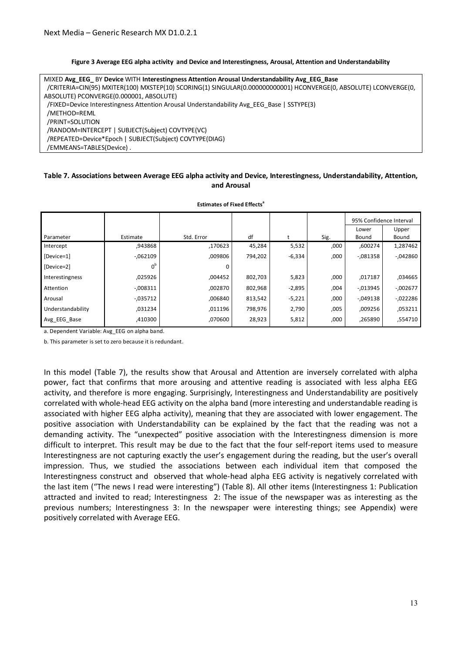#### **Figure 3 Average EEG alpha activity and Device and Interestingness, Arousal, Attention and Understandability**

| MIXED Avg EEG BY Device WITH Interestingness Attention Arousal Understandability Avg EEG Base                   |
|-----------------------------------------------------------------------------------------------------------------|
| /CRITERIA=CIN(95) MXITER(100) MXSTEP(10) SCORING(1) SINGULAR(0.00000000001) HCONVERGE(0, ABSOLUTE) LCONVERGE(0, |
| ABSOLUTE) PCONVERGE(0.000001, ABSOLUTE)                                                                         |
| (FIXED=Device Interestingness Attention Arousal Understandability Avg EEG Base   SSTYPE(3)                      |
| /METHOD=REML                                                                                                    |
| /PRINT=SOLUTION                                                                                                 |
| /RANDOM=INTERCEPT   SUBJECT(Subject) COVTYPE(VC)                                                                |
| /REPEATED=Device*Epoch   SUBJECT(Subject) COVTYPE(DIAG)                                                         |
| /EMMEANS=TABLES(Device).                                                                                        |

#### **Table 7. Associations between Average EEG alpha activity and Device, Interestingness, Understandability, Attention, and Arousal**

| <b>Estimates of Fixed Effects<sup>®</sup></b> |             |            |         |          |      |                         |           |  |  |  |  |
|-----------------------------------------------|-------------|------------|---------|----------|------|-------------------------|-----------|--|--|--|--|
|                                               |             |            |         |          |      | 95% Confidence Interval |           |  |  |  |  |
|                                               |             |            |         |          |      | Lower                   | Upper     |  |  |  |  |
| Parameter                                     | Estimate    | Std. Error | df      |          | Sig. | Bound                   | Bound     |  |  |  |  |
| Intercept                                     | ,943868     | ,170623    | 45,284  | 5,532    | ,000 | ,600274                 | 1,287462  |  |  |  |  |
| [Device=1]                                    | $-062109$   | ,009806    | 794,202 | $-6,334$ | ,000 | $-081358$               | $-042860$ |  |  |  |  |
| [Device=2]                                    | $0^{\rm b}$ | 0          |         |          |      |                         |           |  |  |  |  |
| Interestingness                               | ,025926     | ,004452    | 802,703 | 5,823    | ,000 | ,017187                 | ,034665   |  |  |  |  |
| Attention                                     | $-0.008311$ | ,002870    | 802,968 | $-2,895$ | ,004 | $-0.013945$             | $-002677$ |  |  |  |  |
| Arousal                                       | $-0.035712$ | ,006840    | 813,542 | $-5,221$ | ,000 | $-0.049138$             | $-022286$ |  |  |  |  |
| Understandability                             | ,031234     | ,011196    | 798,976 | 2,790    | ,005 | ,009256                 | ,053211   |  |  |  |  |
| Avg EEG Base                                  | ,410300     | ,070600    | 28,923  | 5,812    | ,000 | ,265890                 | ,554710   |  |  |  |  |

a. Dependent Variable: Avg\_EEG on alpha band.

b. This parameter is set to zero because it is redundant.

In this model (Table 7), the results show that Arousal and Attention are inversely correlated with alpha power, fact that confirms that more arousing and attentive reading is associated with less alpha EEG activity, and therefore is more engaging. Surprisingly, Interestingness and Understandability are positively correlated with whole-head EEG activity on the alpha band (more interesting and understandable reading is associated with higher EEG alpha activity), meaning that they are associated with lower engagement. The positive association with Understandability can be explained by the fact that the reading was not a demanding activity. The "unexpected" positive association with the Interestingness dimension is more difficult to interpret. This result may be due to the fact that the four self-report items used to measure Interestingness are not capturing exactly the user's engagement during the reading, but the user's overall impression. Thus, we studied the associations between each individual item that composed the Interestingness construct and observed that whole-head alpha EEG activity is negatively correlated with the last item ("The news I read were interesting") (Table 8). All other items (Interestingness 1: Publication attracted and invited to read; Interestingness 2: The issue of the newspaper was as interesting as the previous numbers; Interestingness 3: In the newspaper were interesting things; see Appendix) were positively correlated with Average EEG.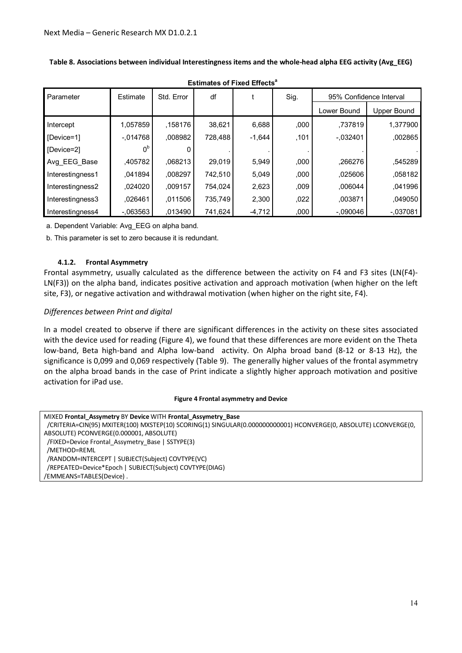| Parameter        | Estimate       | Std. Error | df      |          | Sig. | 95% Confidence Interval |             |  |  |
|------------------|----------------|------------|---------|----------|------|-------------------------|-------------|--|--|
|                  |                |            |         |          |      | Lower Bound             | Upper Bound |  |  |
| Intercept        | 1.057859       | .158176    | 38,621  | 6,688    | ,000 | .737819                 | 1,377900    |  |  |
| [Device=1]       | $-0.014768$    | .008982    | 728.488 | $-1,644$ | ,101 | $-0.032401$             | ,002865     |  |  |
| [Device=2]       | 0 <sup>b</sup> |            |         |          |      |                         |             |  |  |
| Avg_EEG_Base     | ,405782        | .068213    | 29,019  | 5,949    | ,000 | .266276                 | .545289     |  |  |
| Interestingness1 | .041894        | ,008297    | 742,510 | 5,049    | ,000 | .025606                 | ,058182     |  |  |
| Interestingness2 | ,024020        | ,009157    | 754,024 | 2,623    | ,009 | .006044                 | ,041996     |  |  |
| Interestingness3 | .026461        | ,011506    | 735,749 | 2,300    | ,022 | ,003871                 | .049050     |  |  |
| Interestingness4 | $-063563$      | ,013490    | 741,624 | $-4,712$ | ,000 | $-0.090046$             | $-.037081$  |  |  |

**Estimates of Fixed Effects<sup>a</sup>**

**Table 8. Associations between individual Interestingness items and the whole-head alpha EEG activity (Avg\_EEG)** 

a. Dependent Variable: Avg\_EEG on alpha band.

b. This parameter is set to zero because it is redundant.

#### **4.1.2. Frontal Asymmetry**

Frontal asymmetry, usually calculated as the difference between the activity on F4 and F3 sites (LN(F4)- LN(F3)) on the alpha band, indicates positive activation and approach motivation (when higher on the left site, F3), or negative activation and withdrawal motivation (when higher on the right site, F4).

#### *Differences between Print and digital*

In a model created to observe if there are significant differences in the activity on these sites associated with the device used for reading (Figure 4), we found that these differences are more evident on the Theta low-band, Beta high-band and Alpha low-band activity. On Alpha broad band (8-12 or 8-13 Hz), the significance is 0,099 and 0,069 respectively (Table 9). The generally higher values of the frontal asymmetry on the alpha broad bands in the case of Print indicate a slightly higher approach motivation and positive activation for iPad use.

#### **Figure 4 Frontal asymmetry and Device**

MIXED **Frontal\_Assymetry** BY **Device** WITH **Frontal\_Assymetry\_Base** /CRITERIA=CIN(95) MXITER(100) MXSTEP(10) SCORING(1) SINGULAR(0.000000000001) HCONVERGE(0, ABSOLUTE) LCONVERGE(0, ABSOLUTE) PCONVERGE(0.000001, ABSOLUTE) /FIXED=Device Frontal\_Assymetry\_Base | SSTYPE(3) /METHOD=REML /RANDOM=INTERCEPT | SUBJECT(Subject) COVTYPE(VC) /REPEATED=Device\*Epoch | SUBJECT(Subject) COVTYPE(DIAG) /EMMEANS=TABLES(Device) .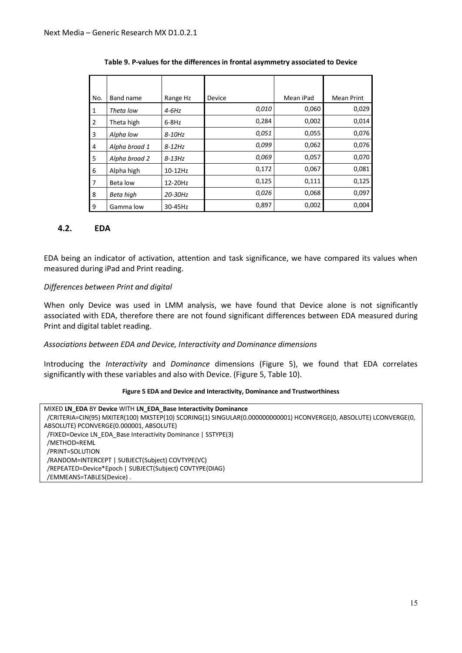| No.            | Band name     | Range Hz  | Device | Mean iPad | <b>Mean Print</b> |
|----------------|---------------|-----------|--------|-----------|-------------------|
| 1              | Theta low     | $4-6Hz$   | 0,010  | 0,060     | 0,029             |
| $\overline{2}$ | Theta high    | $6-8$ Hz  | 0,284  | 0,002     | 0,014             |
| 3              | Alpha low     | $8-10$ Hz | 0,051  | 0,055     | 0,076             |
| 4              | Alpha broad 1 | $8-12Hz$  | 0,099  | 0,062     | 0,076             |
| 5              | Alpha broad 2 | $8-13Hz$  | 0,069  | 0,057     | 0,070             |
| 6              | Alpha high    | 10-12Hz   | 0,172  | 0,067     | 0,081             |
| $\overline{7}$ | Beta low      | 12-20Hz   | 0,125  | 0,111     | 0,125             |
| 8              | Beta high     | 20-30Hz   | 0,026  | 0,068     | 0,097             |
| 9              | Gamma low     | 30-45Hz   | 0,897  | 0,002     | 0,004             |

#### **Table 9. P-values for the differences in frontal asymmetry associated to Device**

#### **4.2. EDA**

EDA being an indicator of activation, attention and task significance, we have compared its values when measured during iPad and Print reading.

#### *Differences between Print and digital*

When only Device was used in LMM analysis, we have found that Device alone is not significantly associated with EDA, therefore there are not found significant differences between EDA measured during Print and digital tablet reading.

#### *Associations between EDA and Device, Interactivity and Dominance dimensions*

Introducing the *Interactivity* and *Dominance* dimensions (Figure 5), we found that EDA correlates significantly with these variables and also with Device. (Figure 5, Table 10).

#### **Figure 5 EDA and Device and Interactivity, Dominance and Trustworthiness**

| MIXED LN EDA BY Device WITH LN EDA Base Interactivity Dominance                                                  |
|------------------------------------------------------------------------------------------------------------------|
| /CRITERIA=CIN(95) MXITER(100) MXSTEP(10) SCORING(1) SINGULAR(0.000000000001) HCONVERGE(0, ABSOLUTE) LCONVERGE(0, |
| ABSOLUTE) PCONVERGE(0.000001, ABSOLUTE)                                                                          |
| /FIXED=Device LN EDA Base Interactivity Dominance   SSTYPE(3)                                                    |
| /METHOD=REML                                                                                                     |
| /PRINT=SOLUTION                                                                                                  |
| /RANDOM=INTERCEPT   SUBJECT(Subject) COVTYPE(VC)                                                                 |
| /REPEATED=Device*Epoch   SUBJECT(Subject) COVTYPE(DIAG)                                                          |
| /EMMEANS=TABLES(Device).                                                                                         |
|                                                                                                                  |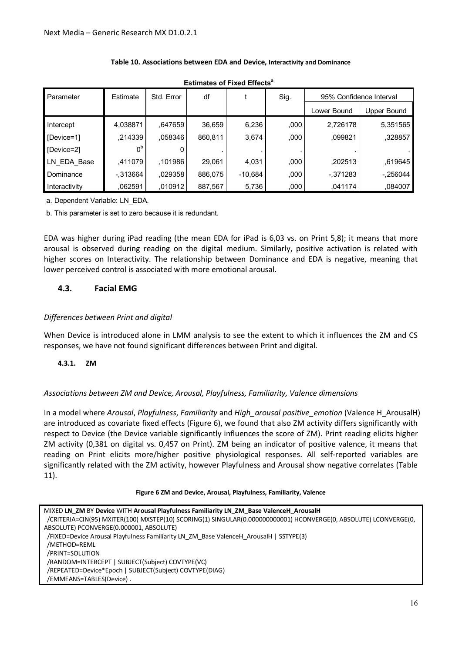| <b>Estimates of Fixed Effects<sup>a</sup></b> |                |            |         |           |      |                         |             |  |  |  |  |
|-----------------------------------------------|----------------|------------|---------|-----------|------|-------------------------|-------------|--|--|--|--|
| Parameter                                     | Estimate       | Std. Error | df      |           | Sig. | 95% Confidence Interval |             |  |  |  |  |
|                                               |                |            |         |           |      | Lower Bound             | Upper Bound |  |  |  |  |
| Intercept                                     | 4,038871       | .647659    | 36,659  | 6,236     | ,000 | 2,726178                | 5,351565    |  |  |  |  |
| [Device=1]                                    | ,214339        | .058346    | 860,811 | 3,674     | ,000 | .099821                 | .328857     |  |  |  |  |
| [Device=2]                                    | 0 <sup>b</sup> |            |         |           |      |                         |             |  |  |  |  |
| LN EDA Base                                   | ,411079        | ,101986    | 29,061  | 4,031     | ,000 | ,202513                 | .619645     |  |  |  |  |
| Dominance                                     | $-.313664$     | ,029358    | 886.075 | $-10,684$ | ,000 | $-.371283$              | $-.256044$  |  |  |  |  |
| Interactivity                                 | .062591        | .010912    | 887,567 | 5,736     | ,000 | .041174                 | .084007     |  |  |  |  |

#### **Table 10. Associations between EDA and Device, Interactivity and Dominance**

a. Dependent Variable: LN\_EDA.

b. This parameter is set to zero because it is redundant.

EDA was higher during iPad reading (the mean EDA for iPad is 6,03 vs. on Print 5,8); it means that more arousal is observed during reading on the digital medium. Similarly, positive activation is related with higher scores on Interactivity. The relationship between Dominance and EDA is negative, meaning that lower perceived control is associated with more emotional arousal.

# **4.3. Facial EMG**

#### *Differences between Print and digital*

When Device is introduced alone in LMM analysis to see the extent to which it influences the ZM and CS responses, we have not found significant differences between Print and digital.

#### **4.3.1. ZM**

#### *Associations between ZM and Device, Arousal, Playfulness, Familiarity, Valence dimensions*

In a model where *Arousal*, *Playfulness*, *Familiarity* and *High\_arousal positive\_emotion* (Valence H\_ArousalH) are introduced as covariate fixed effects (Figure 6), we found that also ZM activity differs significantly with respect to Device (the Device variable significantly influences the score of ZM). Print reading elicits higher ZM activity (0,381 on digital vs. 0,457 on Print). ZM being an indicator of positive valence, it means that reading on Print elicits more/higher positive physiological responses. All self-reported variables are significantly related with the ZM activity, however Playfulness and Arousal show negative correlates (Table 11).

#### **Figure 6 ZM and Device, Arousal, Playfulness, Familiarity, Valence**

| MIXED LN ZM BY Device WITH Arousal Playfulness Familiarity LN ZM Base ValenceH ArousalH                          |
|------------------------------------------------------------------------------------------------------------------|
| /CRITERIA=CIN(95) MXITER(100) MXSTEP(10) SCORING(1) SINGULAR(0.000000000001) HCONVERGE(0, ABSOLUTE) LCONVERGE(0, |
| ABSOLUTE) PCONVERGE(0.000001, ABSOLUTE)                                                                          |
| /FIXED=Device Arousal Playfulness Familiarity LN_ZM_Base ValenceH ArousalH   SSTYPE(3)                           |
| /METHOD=REML                                                                                                     |
| /PRINT=SOLUTION                                                                                                  |
| /RANDOM=INTERCEPT   SUBJECT(Subject) COVTYPE(VC)                                                                 |
| /REPEATED=Device*Epoch   SUBJECT(Subject) COVTYPE(DIAG)                                                          |
| /EMMEANS=TABLES(Device).                                                                                         |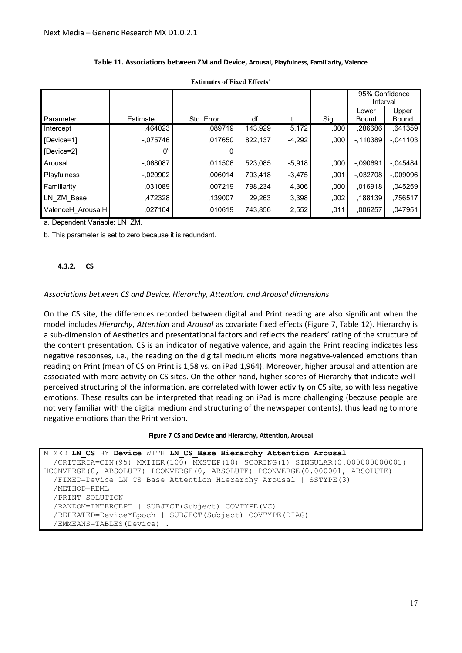|                   |                |            |         |          |      | 95% Confidence<br>Interval |                |
|-------------------|----------------|------------|---------|----------|------|----------------------------|----------------|
| Parameter         | Estimate       | Std. Error | df      |          | Sig. | Lower<br>Bound             | Upper<br>Bound |
| Intercept         | .464023        | .089719    | 143,929 | 5,172    | ,000 | .286686                    | .641359        |
| [Device=1]        | $-.075746$     | .017650    | 822,137 | $-4,292$ | ,000 | $-110389$                  | $-.041103$     |
| [Device=2]        | 0 <sup>b</sup> |            |         |          |      |                            |                |
| Arousal           | $-068087$      | .011506    | 523,085 | $-5,918$ | .000 | $-.090691$                 | $-.045484$     |
| Playfulness       | $-0.020902$    | .006014    | 793.418 | $-3,475$ | ,001 | $-0.032708$                | $-009096$      |
| Familiarity       | .031089        | .007219    | 798,234 | 4,306    | ,000 | .016918                    | .045259        |
| LN ZM Base        | .472328        | .139007    | 29.263  | 3,398    | ,002 | .188139                    | .756517        |
| ValenceH ArousalH | ,027104        | .010619    | 743,856 | 2,552    | .011 | .006257                    | ,047951        |

#### **Table 11. Associations between ZM and Device, Arousal, Playfulness, Familiarity, Valence**

**Estimates of Fixed Effects<sup>a</sup>**

a. Dependent Variable: LN\_ZM.

b. This parameter is set to zero because it is redundant.

#### **4.3.2. CS**

#### *Associations between CS and Device, Hierarchy, Attention, and Arousal dimensions*

On the CS site, the differences recorded between digital and Print reading are also significant when the model includes *Hierarchy*, *Attention* and *Arousal* as covariate fixed effects (Figure 7, Table 12). Hierarchy is a sub-dimension of Aesthetics and presentational factors and reflects the readers' rating of the structure of the content presentation. CS is an indicator of negative valence, and again the Print reading indicates less negative responses, i.e., the reading on the digital medium elicits more negative-valenced emotions than reading on Print (mean of CS on Print is 1,58 vs. on iPad 1,964). Moreover, higher arousal and attention are associated with more activity on CS sites. On the other hand, higher scores of Hierarchy that indicate wellperceived structuring of the information, are correlated with lower activity on CS site, so with less negative emotions. These results can be interpreted that reading on iPad is more challenging (because people are not very familiar with the digital medium and structuring of the newspaper contents), thus leading to more negative emotions than the Print version.

#### **Figure 7 CS and Device and Hierarchy, Attention, Arousal**

```
MIXED LN_CS BY Device WITH LN_CS_Base Hierarchy Attention Arousal
   /CRITERIA=CIN(95) MXITER(100) MXSTEP(10) SCORING(1) SINGULAR(0.000000000001) 
HCONVERGE(0, ABSOLUTE) LCONVERGE(0, ABSOLUTE) PCONVERGE(0.000001, ABSOLUTE) 
   /FIXED=Device LN_CS_Base Attention Hierarchy Arousal | SSTYPE(3) 
   /METHOD=REML 
   /PRINT=SOLUTION 
   /RANDOM=INTERCEPT | SUBJECT(Subject) COVTYPE(VC) 
   /REPEATED=Device*Epoch | SUBJECT(Subject) COVTYPE(DIAG) 
   /EMMEANS=TABLES(Device) .
```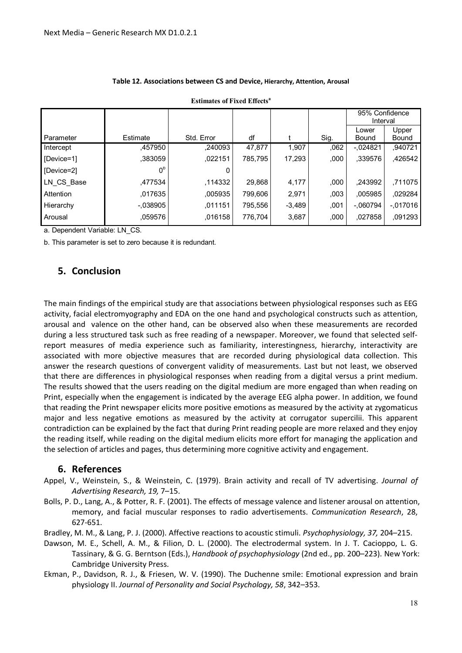| Estimates of Fixed Effects |                |            |         |          |      |                            |            |  |  |  |
|----------------------------|----------------|------------|---------|----------|------|----------------------------|------------|--|--|--|
|                            |                |            |         |          |      | 95% Confidence<br>Interval |            |  |  |  |
|                            |                |            |         |          |      | Lower                      | Upper      |  |  |  |
| <b>Parameter</b>           | Estimate       | Std. Error | df      |          | Sig. | Bound                      | Bound      |  |  |  |
| Intercept                  | .457950        | .240093    | 47,877  | 1,907    | ,062 | $-0.024821$                | .940721    |  |  |  |
| [Device=1]                 | .383059        | .022151    | 785,795 | 17,293   | ,000 | .339576                    | .426542    |  |  |  |
| [Device=2]                 | 0 <sup>b</sup> |            |         |          |      |                            |            |  |  |  |
| LN CS Base                 | .477534        | .114332    | 29,868  | 4,177    | ,000 | .243992                    | ,711075    |  |  |  |
| Attention                  | ,017635        | ,005935    | 799,606 | 2,971    | ,003 | ,005985                    | ,029284    |  |  |  |
| Hierarchy                  | $-.038905$     | .011151    | 795.556 | $-3.489$ | ,001 | $-.060794$                 | $-.017016$ |  |  |  |
| Arousal                    | ,059576        | ,016158    | 776,704 | 3,687    | ,000 | .027858                    | ,091293    |  |  |  |

#### **Table 12. Associations between CS and Device, Hierarchy, Attention, Arousal**

**Estimates of Fixed Effects<sup>a</sup>**

a. Dependent Variable: LN\_CS.

b. This parameter is set to zero because it is redundant.

# **5. Conclusion**

The main findings of the empirical study are that associations between physiological responses such as EEG activity, facial electromyography and EDA on the one hand and psychological constructs such as attention, arousal and valence on the other hand, can be observed also when these measurements are recorded during a less structured task such as free reading of a newspaper. Moreover, we found that selected selfreport measures of media experience such as familiarity, interestingness, hierarchy, interactivity are associated with more objective measures that are recorded during physiological data collection. This answer the research questions of convergent validity of measurements. Last but not least, we observed that there are differences in physiological responses when reading from a digital versus a print medium. The results showed that the users reading on the digital medium are more engaged than when reading on Print, especially when the engagement is indicated by the average EEG alpha power. In addition, we found that reading the Print newspaper elicits more positive emotions as measured by the activity at zygomaticus major and less negative emotions as measured by the activity at corrugator supercilii. This apparent contradiction can be explained by the fact that during Print reading people are more relaxed and they enjoy the reading itself, while reading on the digital medium elicits more effort for managing the application and the selection of articles and pages, thus determining more cognitive activity and engagement.

#### **6. References**

- Appel, V., Weinstein, S., & Weinstein, C. (1979). Brain activity and recall of TV advertising. *Journal of Advertising Research, 19,* 7–15.
- Bolls, P. D., Lang, A., & Potter, R. F. (2001). The effects of message valence and listener arousal on attention, memory, and facial muscular responses to radio advertisements. *Communication Research*, 28, 627-651.

Bradley, M. M., & Lang, P. J. (2000). Affective reactions to acoustic stimuli. *Psychophysiology, 37,* 204–215.

- Dawson, M. E., Schell, A. M., & Filion, D. L. (2000). The electrodermal system. In J. T. Cacioppo, L. G. Tassinary, & G. G. Berntson (Eds.), *Handbook of psychophysiology* (2nd ed., pp. 200–223). New York: Cambridge University Press.
- Ekman, P., Davidson, R. J., & Friesen, W. V. (1990). The Duchenne smile: Emotional expression and brain physiology II. *Journal of Personality and Social Psychology, 58*, 342–353.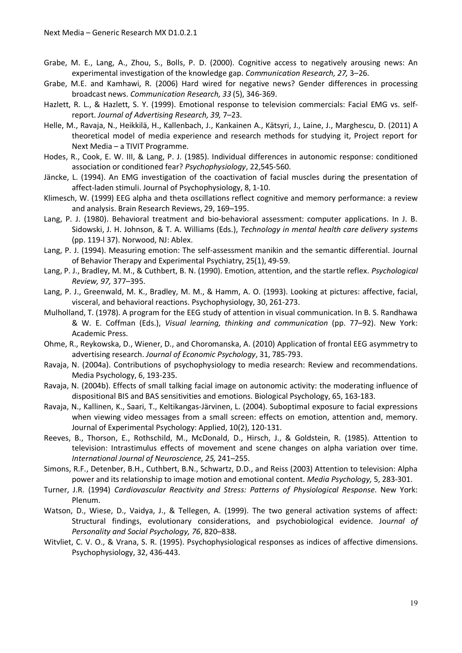- Grabe, M. E., Lang, A., Zhou, S., Bolls, P. D. (2000). Cognitive access to negatively arousing news: An experimental investigation of the knowledge gap. *Communication Research, 27,* 3–26.
- Grabe, M.E. and Kamhawi, R. (2006) Hard wired for negative news? Gender differences in processing broadcast news. *Communication Research, 33* (5), 346-369.
- Hazlett, R. L., & Hazlett, S. Y. (1999). Emotional response to television commercials: Facial EMG vs. selfreport. *Journal of Advertising Research, 39,* 7–23.
- Helle, M., Ravaja, N., Heikkilä, H., Kallenbach, J., Kankainen A., Kätsyri, J., Laine, J., Marghescu, D. (2011) A theoretical model of media experience and research methods for studying it, Project report for Next Media – a TIVIT Programme.
- Hodes, R., Cook, E. W. III, & Lang, P. J. (1985). Individual differences in autonomic response: conditioned association or conditioned fear? *Psychophysiology*, 22,545-560.
- Jäncke, L. (1994). An EMG investigation of the coactivation of facial muscles during the presentation of affect-laden stimuli. Journal of Psychophysiology, 8, 1-10.
- Klimesch, W. (1999) EEG alpha and theta oscillations reflect cognitive and memory performance: a review and analysis. Brain Research Reviews, 29, 169–195.
- Lang, P. J. (1980). Behavioral treatment and bio-behavioral assessment: computer applications. In J. B. Sidowski, J. H. Johnson, & T. A. Williams (Eds.), *Technology in mental health care delivery systems* (pp. 119-l 37). Norwood, NJ: Ablex.
- Lang, P. J. (1994). Measuring emotion: The self-assessment manikin and the semantic differential. Journal of Behavior Therapy and Experimental Psychiatry, 25(1), 49-59.
- Lang, P. J., Bradley, M. M., & Cuthbert, B. N. (1990). Emotion, attention, and the startle reflex. *Psychological Review, 97,* 377–395.
- Lang, P. J., Greenwald, M. K., Bradley, M. M., & Hamm, A. O. (1993). Looking at pictures: affective, facial, visceral, and behavioral reactions. Psychophysiology, 30, 261-273.
- Mulholland, T. (1978). A program for the EEG study of attention in visual communication. In B. S. Randhawa & W. E. Coffman (Eds.), *Visual learning, thinking and communication* (pp. 77–92). New York: Academic Press.
- Ohme, R., Reykowska, D., Wiener, D., and Choromanska, A. (2010) Application of frontal EEG asymmetry to advertising research. *Journal of Economic Psychology*, 31, 785-793.
- Ravaja, N. (2004a). Contributions of psychophysiology to media research: Review and recommendations. Media Psychology, 6, 193-235.
- Ravaja, N. (2004b). Effects of small talking facial image on autonomic activity: the moderating influence of dispositional BIS and BAS sensitivities and emotions. Biological Psychology, 65, 163-183.
- Ravaja, N., Kallinen, K., Saari, T., Keltikangas-Järvinen, L. (2004). Suboptimal exposure to facial expressions when viewing video messages from a small screen: effects on emotion, attention and, memory. Journal of Experimental Psychology: Applied, 10(2), 120-131.
- Reeves, B., Thorson, E., Rothschild, M., McDonald, D., Hirsch, J., & Goldstein, R. (1985). Attention to television: Intrastimulus effects of movement and scene changes on alpha variation over time. *International Journal of Neuroscience, 25,* 241–255.
- Simons, R.F., Detenber, B.H., Cuthbert, B.N., Schwartz, D.D., and Reiss (2003) Attention to television: Alpha power and its relationship to image motion and emotional content. *Media Psychology,* 5, 283-301.
- Turner, J.R. (1994) *Cardiovascular Reactivity and Stress: Patterns of Physiological Response*. New York: Plenum.
- Watson, D., Wiese, D., Vaidya, J., & Tellegen, A. (1999). The two general activation systems of affect: Structural findings, evolutionary considerations, and psychobiological evidence. Jou*rnal of Personality and Social Psychology, 76*, 820–838.
- Witvliet, C. V. O., & Vrana, S. R. (1995). Psychophysiological responses as indices of affective dimensions. Psychophysiology, 32, 436-443.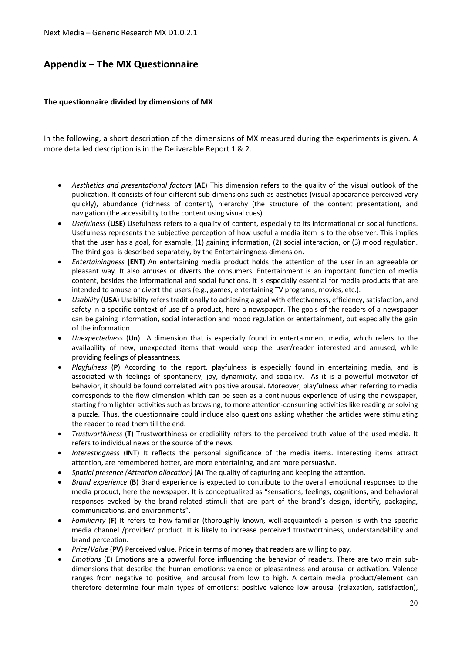# **Appendix – The MX Questionnaire**

#### **The questionnaire divided by dimensions of MX**

In the following, a short description of the dimensions of MX measured during the experiments is given. A more detailed description is in the Deliverable Report 1 & 2.

- x *Aesthetics and presentational factors* (**AE**) This dimension refers to the quality of the visual outlook of the publication. It consists of four different sub-dimensions such as aesthetics (visual appearance perceived very quickly), abundance (richness of content), hierarchy (the structure of the content presentation), and navigation (the accessibility to the content using visual cues).
- Usefulness (USE) Usefulness refers to a quality of content, especially to its informational or social functions. Usefulness represents the subjective perception of how useful a media item is to the observer. This implies that the user has a goal, for example, (1) gaining information, (2) social interaction, or (3) mood regulation. The third goal is described separately, by the Entertainingness dimension.
- x *Entertainingness* **(ENT)** An entertaining media product holds the attention of the user in an agreeable or pleasant way. It also amuses or diverts the consumers. Entertainment is an important function of media content, besides the informational and social functions. It is especially essential for media products that are intended to amuse or divert the users (e.g., games, entertaining TV programs, movies, etc.).
- x *Usability* (**USA**) Usability refers traditionally to achieving a goal with effectiveness, efficiency, satisfaction, and safety in a specific context of use of a product, here a newspaper. The goals of the readers of a newspaper can be gaining information, social interaction and mood regulation or entertainment, but especially the gain of the information.
- x *Unexpectedness* (**Un**) A dimension that is especially found in entertainment media, which refers to the availability of new, unexpected items that would keep the user/reader interested and amused, while providing feelings of pleasantness.
- x *Playfulness* (**P**) According to the report, playfulness is especially found in entertaining media, and is associated with feelings of spontaneity, joy, dynamicity, and sociality. As it is a powerful motivator of behavior, it should be found correlated with positive arousal. Moreover, playfulness when referring to media corresponds to the flow dimension which can be seen as a continuous experience of using the newspaper, starting from lighter activities such as browsing, to more attention-consuming activities like reading or solving a puzzle. Thus, the questionnaire could include also questions asking whether the articles were stimulating the reader to read them till the end.
- x *Trustworthiness* (**T**) Trustworthiness or credibility refers to the perceived truth value of the used media. It refers to individual news or the source of the news.
- x *Interestingness* (**INT**) It reflects the personal significance of the media items. Interesting items attract attention, are remembered better, are more entertaining, and are more persuasive.
- x *Spatial presence (Attention allocation)* (**A**) The quality of capturing and keeping the attention.
- x *Brand experience* (**B**) Brand experience is expected to contribute to the overall emotional responses to the media product, here the newspaper. It is conceptualized as "sensations, feelings, cognitions, and behavioral responses evoked by the brand-related stimuli that are part of the brand's design, identify, packaging, communications, and environments".
- **•** *Familiarity* (**F**) It refers to how familiar (thoroughly known, well-acquainted) a person is with the specific media channel /provider/ product. It is likely to increase perceived trustworthiness, understandability and brand perception.
- x *Price*/*Value* (**PV**) Perceived value. Price in terms of money that readers are willing to pay.
- *Emotions* (**E**) Emotions are a powerful force influencing the behavior of readers. There are two main subdimensions that describe the human emotions: valence or pleasantness and arousal or activation. Valence ranges from negative to positive, and arousal from low to high. A certain media product/element can therefore determine four main types of emotions: positive valence low arousal (relaxation, satisfaction),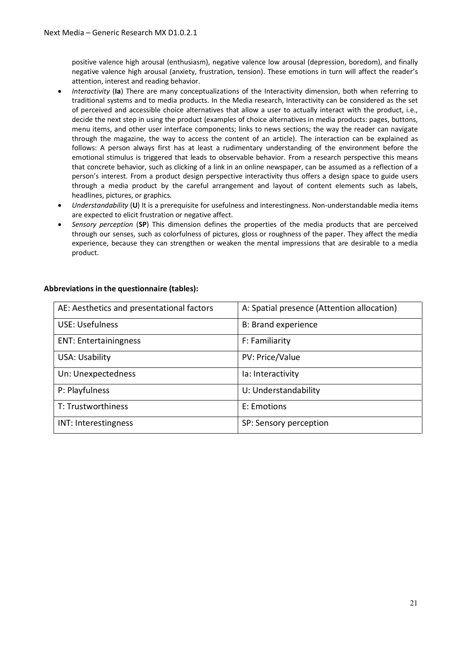positive valence high arousal (enthusiasm), negative valence low arousal (depression, boredom), and finally negative valence high arousal (anxiety, frustration, tension). These emotions in turn will affect the reader's attention, interest and reading behavior.

- x *Interactivity* (**Ia**) There are many conceptualizations of the Interactivity dimension, both when referring to traditional systems and to media products. In the Media research, Interactivity can be considered as the set of perceived and accessible choice alternatives that allow a user to actually interact with the product, i.e., decide the next step in using the product (examples of choice alternatives in media products: pages, buttons, menu items, and other user interface components; links to news sections; the way the reader can navigate through the magazine, the way to access the content of an article). The interaction can be explained as follows: A person always first has at least a rudimentary understanding of the environment before the emotional stimulus is triggered that leads to observable behavior. From a research perspective this means that concrete behavior, such as clicking of a link in an online newspaper, can be assumed as a reflection of a person's interest. From a product design perspective interactivity thus offers a design space to guide users through a media product by the careful arrangement and layout of content elements such as labels, headlines, pictures, or graphics.
- *Understandability* (U) It is a prerequisite for usefulness and interestingness. Non-understandable media items are expected to elicit frustration or negative affect.
- **•** Sensory perception (SP) This dimension defines the properties of the media products that are perceived through our senses, such as colorfulness of pictures, gloss or roughness of the paper. They affect the media experience, because they can strengthen or weaken the mental impressions that are desirable to a media product.

| AE: Aesthetics and presentational factors | A: Spatial presence (Attention allocation) |
|-------------------------------------------|--------------------------------------------|
| <b>USE: Usefulness</b>                    | <b>B: Brand experience</b>                 |
| <b>ENT: Entertainingness</b>              | F: Familiarity                             |
| USA: Usability                            | PV: Price/Value                            |
| Un: Unexpectedness                        | la: Interactivity                          |
| P: Playfulness                            | U: Understandability                       |
| T: Trustworthiness                        | E: Emotions                                |
| INT: Interestingness                      | SP: Sensory perception                     |

#### **Abbreviations in the questionnaire (tables):**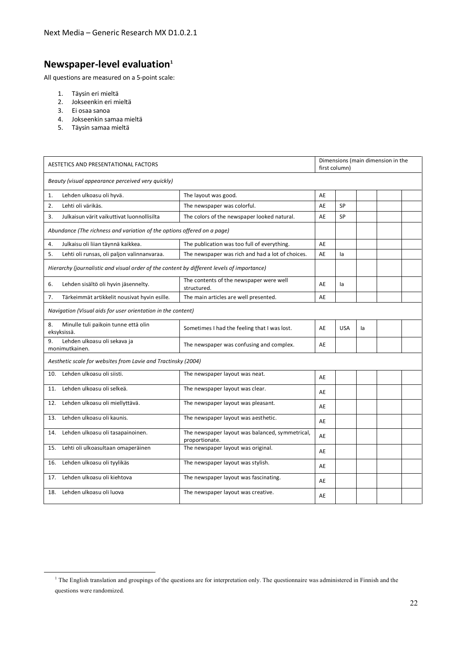# **Newspaper-level evaluation<sup>1</sup>**

All questions are measured on a 5-point scale:

- 1. Täysin eri mieltä
- 2. Jokseenkin eri mieltä
- 3. Ei osaa sanoa

**.** 

- 4. Jokseenkin samaa mieltä
- 5. Täysin samaa mieltä

| AESTETICS AND PRESENTATIONAL FACTORS                                                       |                                                                   |    | Dimensions (main dimension in the<br>first column) |    |  |  |  |  |
|--------------------------------------------------------------------------------------------|-------------------------------------------------------------------|----|----------------------------------------------------|----|--|--|--|--|
| Beauty (visual appearance perceived very quickly)                                          |                                                                   |    |                                                    |    |  |  |  |  |
| Lehden ulkoasu oli hyvä.<br>1.                                                             | The layout was good.                                              | AE |                                                    |    |  |  |  |  |
| Lehti oli värikäs.<br>2.                                                                   | The newspaper was colorful.                                       | AE | SP                                                 |    |  |  |  |  |
| 3.<br>Julkaisun värit vaikuttivat luonnollisilta                                           | The colors of the newspaper looked natural.                       | AE | <b>SP</b>                                          |    |  |  |  |  |
| Abundance (The richness and variation of the options offered on a page)                    |                                                                   |    |                                                    |    |  |  |  |  |
| Julkaisu oli liian täynnä kaikkea.<br>4.                                                   | The publication was too full of everything.                       | AE |                                                    |    |  |  |  |  |
| 5.<br>Lehti oli runsas, oli paljon valinnanvaraa.                                          | The newspaper was rich and had a lot of choices.                  | AE | la                                                 |    |  |  |  |  |
| Hierarchy (journalistic and visual order of the content by different levels of importance) |                                                                   |    |                                                    |    |  |  |  |  |
| Lehden sisältö oli hyvin jäsennelty.<br>6.                                                 | The contents of the newspaper were well<br>structured.            | AE | la                                                 |    |  |  |  |  |
| 7.<br>Tärkeimmät artikkelit nousivat hyvin esille.                                         | The main articles are well presented.                             | AE |                                                    |    |  |  |  |  |
| Navigation (Visual aids for user orientation in the content)                               |                                                                   |    |                                                    |    |  |  |  |  |
| 8.<br>Minulle tuli paikoin tunne että olin<br>eksyksissä.                                  | Sometimes I had the feeling that I was lost.                      | AE | <b>USA</b>                                         | la |  |  |  |  |
| Lehden ulkoasu oli sekava ja<br>9.<br>monimutkainen.                                       | The newspaper was confusing and complex.                          | AE |                                                    |    |  |  |  |  |
| Aesthetic scale for websites from Lavie and Tractinsky (2004)                              |                                                                   |    |                                                    |    |  |  |  |  |
| Lehden ulkoasu oli siisti.<br>10.                                                          | The newspaper layout was neat.                                    | AE |                                                    |    |  |  |  |  |
| Lehden ulkoasu oli selkeä.<br>11.                                                          | The newspaper layout was clear.                                   | AE |                                                    |    |  |  |  |  |
| Lehden ulkoasu oli miellyttävä.<br>12.                                                     | The newspaper layout was pleasant.                                | AE |                                                    |    |  |  |  |  |
| Lehden ulkoasu oli kaunis.<br>13.                                                          | The newspaper layout was aesthetic.                               | AE |                                                    |    |  |  |  |  |
| Lehden ulkoasu oli tasapainoinen.<br>14.                                                   | The newspaper layout was balanced, symmetrical,<br>proportionate. | AE |                                                    |    |  |  |  |  |
| Lehti oli ulkoasultaan omaperäinen<br>15.                                                  | The newspaper layout was original.                                | AE |                                                    |    |  |  |  |  |
| Lehden ulkoasu oli tyylikäs<br>16.                                                         | The newspaper layout was stylish.                                 | AE |                                                    |    |  |  |  |  |
| Lehden ulkoasu oli kiehtova<br>17.                                                         | The newspaper layout was fascinating.                             | AE |                                                    |    |  |  |  |  |
| Lehden ulkoasu oli luova<br>18.                                                            | The newspaper layout was creative.                                | AE |                                                    |    |  |  |  |  |

<sup>&</sup>lt;sup>1</sup> The English translation and groupings of the questions are for interpretation only. The questionnaire was administered in Finnish and the questions were randomized.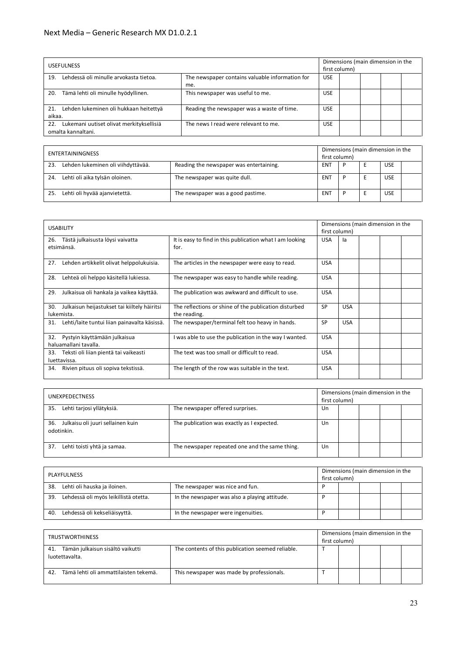#### Next Media – Generic Research MX D1.0.2.1

| <b>USEFULNESS</b>                                                     |                                                 |            |  | Dimensions (main dimension in the<br>first column) |  |  |  |  |
|-----------------------------------------------------------------------|-------------------------------------------------|------------|--|----------------------------------------------------|--|--|--|--|
| Lehdessä oli minulle arvokasta tietoa.<br>19.                         | The newspaper contains valuable information for | <b>USE</b> |  |                                                    |  |  |  |  |
|                                                                       | me.                                             |            |  |                                                    |  |  |  |  |
| Tämä lehti oli minulle hyödyllinen.<br>20.                            | This newspaper was useful to me.                | <b>USE</b> |  |                                                    |  |  |  |  |
| Lehden lukeminen oli hukkaan heitettyä<br>21.<br>aikaa.               | Reading the newspaper was a waste of time.      | <b>USE</b> |  |                                                    |  |  |  |  |
| Lukemani uutiset olivat merkityksellisiä<br>22.<br>omalta kannaltani. | The news I read were relevant to me.            | <b>USE</b> |  |                                                    |  |  |  |  |

| ENTERTAININGNESS |                                    |                                         | Dimensions (main dimension in the<br>first column) |  |  |            |  |
|------------------|------------------------------------|-----------------------------------------|----------------------------------------------------|--|--|------------|--|
| 23.              | Lehden lukeminen oli viihdyttävää. | Reading the newspaper was entertaining. | <b>ENT</b>                                         |  |  | <b>USE</b> |  |
| 24.              | Lehti oli aika tylsän oloinen.     | The newspaper was quite dull.           | <b>ENT</b>                                         |  |  | <b>USE</b> |  |
| 25               | Lehti oli hyvää ajanvietettä.      | The newspaper was a good pastime.       | <b>ENT</b>                                         |  |  | <b>USE</b> |  |

| <b>USABILITY</b>                                                  |                                                                       | Dimensions (main dimension in the<br>first column) |            |  |  |  |
|-------------------------------------------------------------------|-----------------------------------------------------------------------|----------------------------------------------------|------------|--|--|--|
| Tästä julkaisusta löysi vaivatta<br>26.<br>etsimänsä.             | It is easy to find in this publication what I am looking<br>for.      | <b>USA</b>                                         | la         |  |  |  |
| 27.<br>Lehden artikkelit olivat helppolukuisia.                   | The articles in the newspaper were easy to read.                      | <b>USA</b>                                         |            |  |  |  |
| Lehteä oli helppo käsitellä lukiessa.<br>28.                      | The newspaper was easy to handle while reading.                       | <b>USA</b>                                         |            |  |  |  |
| Julkaisua oli hankala ja vaikea käyttää.<br>29.                   | The publication was awkward and difficult to use.                     | <b>USA</b>                                         |            |  |  |  |
| Julkaisun heijastukset tai kiiltely häiritsi<br>30.<br>lukemista. | The reflections or shine of the publication disturbed<br>the reading. | <b>SP</b>                                          | <b>USA</b> |  |  |  |
| Lehti/laite tuntui liian painavalta käsissä.<br>31.               | The newspaper/terminal felt too heavy in hands.                       | <b>SP</b>                                          | <b>USA</b> |  |  |  |
| Pystyin käyttämään julkaisua<br>32.<br>haluamallani tavalla.      | I was able to use the publication in the way I wanted.                | <b>USA</b>                                         |            |  |  |  |
| Teksti oli liian pientä tai vaikeasti<br>33.<br>luettavissa.      | The text was too small or difficult to read.                          | <b>USA</b>                                         |            |  |  |  |
| Rivien pituus oli sopiva tekstissä.<br>34.                        | The length of the row was suitable in the text.                       | <b>USA</b>                                         |            |  |  |  |

| <b>UNEXPEDECTNESS</b>                                  |                                                |    | first column) | Dimensions (main dimension in the |  |  |  |
|--------------------------------------------------------|------------------------------------------------|----|---------------|-----------------------------------|--|--|--|
| Lehti tarjosi yllätyksiä.<br>35.                       | The newspaper offered surprises.               | Un |               |                                   |  |  |  |
| Julkaisu oli juuri sellainen kuin<br>36.<br>odotinkin. | The publication was exactly as I expected.     | Un |               |                                   |  |  |  |
| 37.<br>Lehti toisti yhtä ja samaa.                     | The newspaper repeated one and the same thing. | Un |               |                                   |  |  |  |

|     | PLAYFULNESS                           |                                               | first column) | Dimensions (main dimension in the |  |  |
|-----|---------------------------------------|-----------------------------------------------|---------------|-----------------------------------|--|--|
| 38. | Lehti oli hauska ja iloinen.          | The newspaper was nice and fun.               |               |                                   |  |  |
| 39  | Lehdessä oli myös leikillistä otetta. | In the newspaper was also a playing attitude. |               |                                   |  |  |
| 40. | Lehdessä oli kekseliäisyyttä.         | In the newspaper were ingenuities.            |               |                                   |  |  |

| <b>TRUSTWORTHINESS</b>                                 |                                                   |  | Dimensions (main dimension in the<br>first column) |  |  |  |
|--------------------------------------------------------|---------------------------------------------------|--|----------------------------------------------------|--|--|--|
| 41. Tämän julkaisun sisältö vaikutti<br>luotettavalta. | The contents of this publication seemed reliable. |  |                                                    |  |  |  |
| Tämä lehti oli ammattilaisten tekemä.<br>42.           | This newspaper was made by professionals.         |  |                                                    |  |  |  |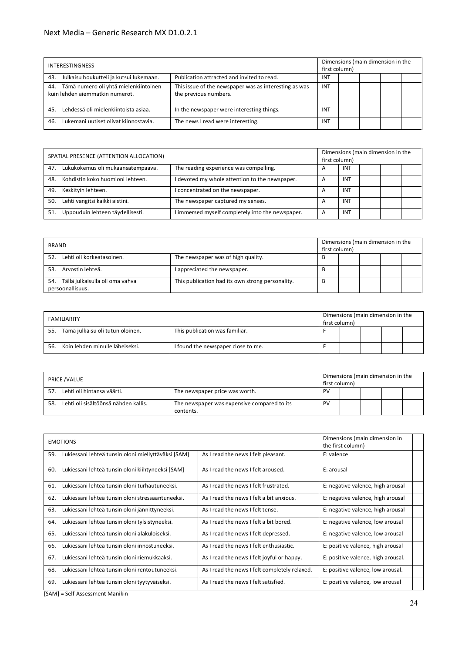#### Next Media – Generic Research MX D1.0.2.1

| <b>INTERESTINGNESS</b>                                                          |                                                                                |            | first column) | Dimensions (main dimension in the |  |  |  |
|---------------------------------------------------------------------------------|--------------------------------------------------------------------------------|------------|---------------|-----------------------------------|--|--|--|
| Julkaisu houkutteli ja kutsui lukemaan.<br>43.                                  | Publication attracted and invited to read.                                     | <b>INT</b> |               |                                   |  |  |  |
| Tämä numero oli yhtä mielenkiintoinen<br>44.<br>kuin lehden aiemmatkin numerot. | This issue of the newspaper was as interesting as was<br>the previous numbers. | INT        |               |                                   |  |  |  |
| Lehdessä oli mielenkiintoista asiaa.<br>45.                                     | In the newspaper were interesting things.                                      | <b>INT</b> |               |                                   |  |  |  |
| Lukemani uutiset olivat kiinnostavia.<br>46.                                    | The news I read were interesting.                                              | INT        |               |                                   |  |  |  |

| SPATIAL PRESENCE (ATTENTION ALLOCATION) |                                   | first column)                                    |                |            | Dimensions (main dimension in the |  |  |
|-----------------------------------------|-----------------------------------|--------------------------------------------------|----------------|------------|-----------------------------------|--|--|
| 47.                                     | Lukukokemus oli mukaansatempaava. | The reading experience was compelling.           | A              | <b>INT</b> |                                   |  |  |
| 48.                                     | Kohdistin koko huomioni lehteen.  | I devoted my whole attention to the newspaper.   | $\overline{A}$ | <b>INT</b> |                                   |  |  |
| 49.                                     | Keskityin lehteen.                | concentrated on the newspaper.                   | $\overline{a}$ | <b>INT</b> |                                   |  |  |
| 50.                                     | Lehti vangitsi kaikki aistini.    | The newspaper captured my senses.                | $\overline{A}$ | <b>INT</b> |                                   |  |  |
| 51.                                     | Uppouduin lehteen täydellisesti.  | I immersed myself completely into the newspaper. | $\overline{A}$ | <b>INT</b> |                                   |  |  |

| <b>BRAND</b>                                               |                                                  | first column) |  | Dimensions (main dimension in the |  |  |  |
|------------------------------------------------------------|--------------------------------------------------|---------------|--|-----------------------------------|--|--|--|
| Lehti oli korkeatasoinen.<br>52.                           | The newspaper was of high quality.               | в             |  |                                   |  |  |  |
| Arvostin lehteä.<br>53.                                    | I appreciated the newspaper.                     | В             |  |                                   |  |  |  |
| 54.<br>Tällä julkaisulla oli oma vahva<br>persoonallisuus. | This publication had its own strong personality. |               |  |                                   |  |  |  |

| <b>FAMILIARITY</b> |                                                                    | first column)                      |  | Dimensions (main dimension in the |  |  |
|--------------------|--------------------------------------------------------------------|------------------------------------|--|-----------------------------------|--|--|
| 55.                | This publication was familiar.<br>Tämä julkaisu oli tutun oloinen. |                                    |  |                                   |  |  |
| 56.                | Koin lehden minulle läheiseksi.                                    | I found the newspaper close to me. |  |                                   |  |  |

| Dimensions (main dimension in the<br>PRICE /VALUE<br>first column) |                                      |                                                          |    |  |  |  |
|--------------------------------------------------------------------|--------------------------------------|----------------------------------------------------------|----|--|--|--|
| 57                                                                 | Lehti oli hintansa väärti.           | The newspaper price was worth.                           | PV |  |  |  |
| 58.                                                                | Lehti oli sisältöönsä nähden kallis. | The newspaper was expensive compared to its<br>contents. | PV |  |  |  |

|     | <b>EMOTIONS</b>                                     |                                               | Dimensions (main dimension in<br>the first column) |  |
|-----|-----------------------------------------------------|-----------------------------------------------|----------------------------------------------------|--|
| 59. | Lukiessani lehteä tunsin oloni miellyttäväksi [SAM] | As I read the news I felt pleasant.           | E: valence                                         |  |
| 60. | Lukiessani lehteä tunsin oloni kiihtyneeksi [SAM]   | As I read the news I felt aroused.            | E: arousal                                         |  |
| 61. | Lukiessani lehteä tunsin oloni turhautuneeksi.      | As I read the news I felt frustrated.         | E: negative valence, high arousal                  |  |
| 62. | Lukiessani lehteä tunsin oloni stressaantuneeksi.   | As I read the news I felt a bit anxious.      | E: negative valence, high arousal                  |  |
| 63. | Lukiessani lehteä tunsin oloni jännittyneeksi.      | As I read the news I felt tense.              | E: negative valence, high arousal                  |  |
| 64. | Lukiessani lehteä tunsin oloni tylsistyneeksi.      | As I read the news I felt a bit bored.        | E: negative valence, low arousal                   |  |
| 65. | Lukiessani lehteä tunsin oloni alakuloiseksi.       | As I read the news I felt depressed.          | E: negative valence, low arousal                   |  |
| 66. | Lukiessani lehteä tunsin oloni innostuneeksi.       | As I read the news I felt enthusiastic.       | E: positive valence, high arousal                  |  |
| 67. | Lukiessani lehteä tunsin oloni riemukkaaksi.        | As I read the news I felt joyful or happy.    | E: positive valence, high arousal.                 |  |
| 68. | Lukiessani lehteä tunsin oloni rentoutuneeksi.      | As I read the news I felt completely relaxed. | E: positive valence, low arousal.                  |  |
| 69. | Lukiessani lehteä tunsin oloni tyytyväiseksi.       | As I read the news I felt satisfied.          | E: positive valence, low arousal                   |  |

[SAM] = Self-Assessment Manikin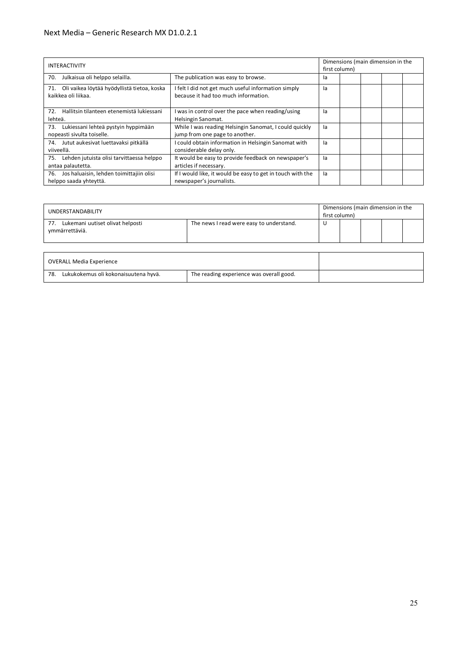#### Next Media – Generic Research MX D1.0.2.1

| <b>INTERACTIVITY</b>                                                      |                                                                                             |    | Dimensions (main dimension in the<br>first column) |  |  |  |
|---------------------------------------------------------------------------|---------------------------------------------------------------------------------------------|----|----------------------------------------------------|--|--|--|
| Julkaisua oli helppo selailla.<br>70.                                     | The publication was easy to browse.                                                         | la |                                                    |  |  |  |
| Oli vaikea löytää hyödyllistä tietoa, koska<br>71.<br>kaikkea oli liikaa. | I felt I did not get much useful information simply<br>because it had too much information. | la |                                                    |  |  |  |
| 72. Hallitsin tilanteen etenemistä lukiessani<br>lehteä.                  | was in control over the pace when reading/using<br>Helsingin Sanomat.                       | la |                                                    |  |  |  |
| Lukiessani lehteä pystyin hyppimään<br>73.<br>nopeasti sivulta toiselle.  | While I was reading Helsingin Sanomat, I could quickly<br>jump from one page to another.    | la |                                                    |  |  |  |
| Jutut aukesivat luettavaksi pitkällä<br>74.<br>viiveellä.                 | I could obtain information in Helsingin Sanomat with<br>considerable delay only.            | la |                                                    |  |  |  |
| Lehden jutuista olisi tarvittaessa helppo<br>75.<br>antaa palautetta.     | It would be easy to provide feedback on newspaper's<br>articles if necessary.               | la |                                                    |  |  |  |
| Jos haluaisin, lehden toimittajiin olisi<br>76.<br>helppo saada yhteyttä. | If I would like, it would be easy to get in touch with the<br>newspaper's journalists.      | la |                                                    |  |  |  |

| UNDERSTANDABILITY                                         |                                          | first column) |  |  | Dimensions (main dimension in the |  |
|-----------------------------------------------------------|------------------------------------------|---------------|--|--|-----------------------------------|--|
| Lukemani uutiset olivat helposti<br>77.<br>ymmärrettäviä. | The news I read were easy to understand. |               |  |  |                                   |  |

| OVERALL Media Experience                    |                                          |  |
|---------------------------------------------|------------------------------------------|--|
| Lukukokemus oli kokonaisuutena hyvä.<br>78. | The reading experience was overall good. |  |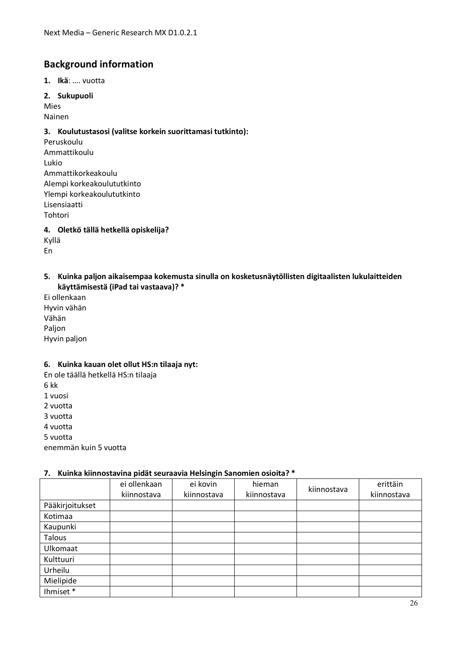# **Background information**

**1. Ikä**: …. vuotta

**2. Sukupuoli**

Mies Nainen

## **3. Koulutustasosi (valitse korkein suorittamasi tutkinto):**

Peruskoulu Ammattikoulu Lukio Ammattikorkeakoulu Alempi korkeakoulututkinto Ylempi korkeakoulututkinto Lisensiaatti Tohtori **4. Oletkö tällä hetkellä opiskelija?** 

Kyllä En

#### **5. Kuinka paljon aikaisempaa kokemusta sinulla on kosketusnäytöllisten digitaalisten lukulaitteiden käyttämisestä (iPad tai vastaava)? \***

Ei ollenkaan Hyvin vähän Vähän Paljon Hyvin paljon

#### **6. Kuinka kauan olet ollut HS:n tilaaja nyt:**

En ole täällä hetkellä HS:n tilaaja 6 kk 1 vuosi 2 vuotta 3 vuotta 4 vuotta 5 vuotta enemmän kuin 5 vuotta

#### **7. Kuinka kiinnostavina pidät seuraavia Helsingin Sanomien osioita? \***

|                 | ei ollenkaan | ei kovin    | hieman      | kiinnostava | erittäin    |
|-----------------|--------------|-------------|-------------|-------------|-------------|
|                 | kiinnostava  | kiinnostava | kiinnostava |             | kiinnostava |
| Pääkirjoitukset |              |             |             |             |             |
| Kotimaa         |              |             |             |             |             |
| Kaupunki        |              |             |             |             |             |
| <b>Talous</b>   |              |             |             |             |             |
| Ulkomaat        |              |             |             |             |             |
| Kulttuuri       |              |             |             |             |             |
| Urheilu         |              |             |             |             |             |
| Mielipide       |              |             |             |             |             |
| Ihmiset*        |              |             |             |             |             |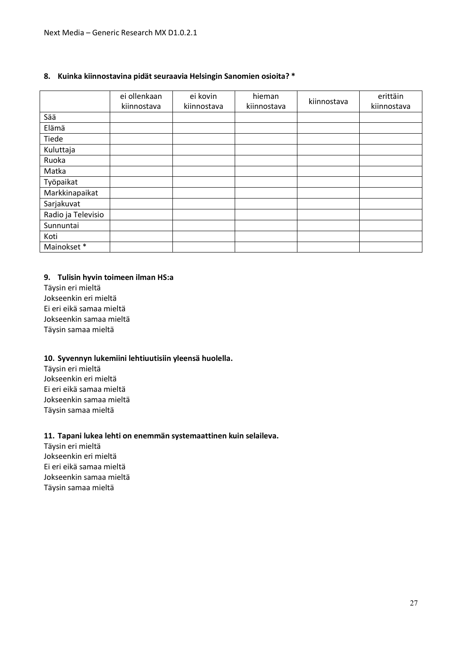#### **8. Kuinka kiinnostavina pidät seuraavia Helsingin Sanomien osioita? \***

|                    | ei ollenkaan<br>kiinnostava | ei kovin<br>kiinnostava | hieman<br>kiinnostava | kiinnostava | erittäin<br>kiinnostava |
|--------------------|-----------------------------|-------------------------|-----------------------|-------------|-------------------------|
| Sää                |                             |                         |                       |             |                         |
| Elämä              |                             |                         |                       |             |                         |
| Tiede              |                             |                         |                       |             |                         |
| Kuluttaja          |                             |                         |                       |             |                         |
| Ruoka              |                             |                         |                       |             |                         |
| Matka              |                             |                         |                       |             |                         |
| Työpaikat          |                             |                         |                       |             |                         |
| Markkinapaikat     |                             |                         |                       |             |                         |
| Sarjakuvat         |                             |                         |                       |             |                         |
| Radio ja Televisio |                             |                         |                       |             |                         |
| Sunnuntai          |                             |                         |                       |             |                         |
| Koti               |                             |                         |                       |             |                         |
| Mainokset*         |                             |                         |                       |             |                         |

#### **9. Tulisin hyvin toimeen ilman HS:a**

Täysin eri mieltä Jokseenkin eri mieltä Ei eri eikä samaa mieltä Jokseenkin samaa mieltä Täysin samaa mieltä

#### **10. Syvennyn lukemiini lehtiuutisiin yleensä huolella.**

Täysin eri mieltä Jokseenkin eri mieltä Ei eri eikä samaa mieltä Jokseenkin samaa mieltä Täysin samaa mieltä

#### **11. Tapani lukea lehti on enemmän systemaattinen kuin selaileva.**

Täysin eri mieltä Jokseenkin eri mieltä Ei eri eikä samaa mieltä Jokseenkin samaa mieltä Täysin samaa mieltä